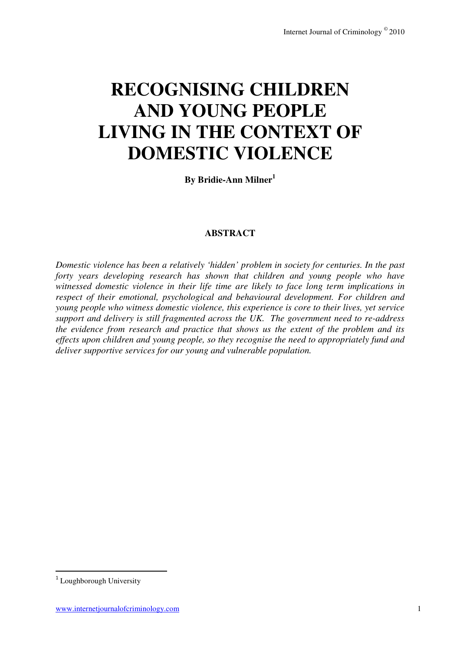# **RECOGNISING CHILDREN AND YOUNG PEOPLE LIVING IN THE CONTEXT OF DOMESTIC VIOLENCE**

**By Bridie-Ann Milner<sup>1</sup>**

# **ABSTRACT**

*Domestic violence has been a relatively 'hidden' problem in society for centuries. In the past forty years developing research has shown that children and young people who have witnessed domestic violence in their life time are likely to face long term implications in respect of their emotional, psychological and behavioural development. For children and young people who witness domestic violence, this experience is core to their lives, yet service support and delivery is still fragmented across the UK. The government need to re-address the evidence from research and practice that shows us the extent of the problem and its effects upon children and young people, so they recognise the need to appropriately fund and deliver supportive services for our young and vulnerable population.* 

l

<sup>&</sup>lt;sup>1</sup> Loughborough University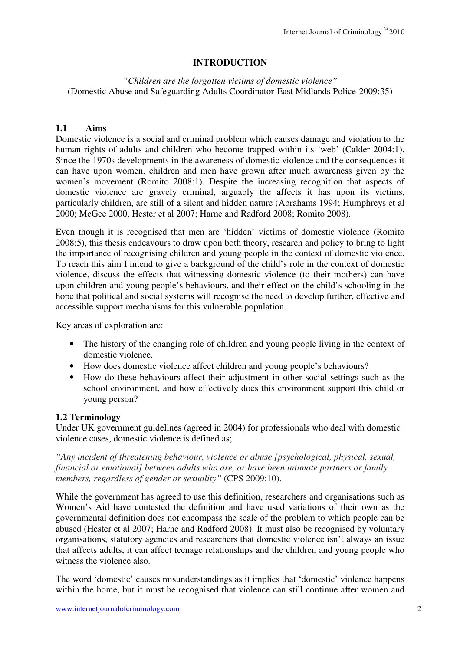## **INTRODUCTION**

*"Children are the forgotten victims of domestic violence"*  (Domestic Abuse and Safeguarding Adults Coordinator-East Midlands Police-2009:35)

## **1.1 Aims**

Domestic violence is a social and criminal problem which causes damage and violation to the human rights of adults and children who become trapped within its 'web' (Calder 2004:1). Since the 1970s developments in the awareness of domestic violence and the consequences it can have upon women, children and men have grown after much awareness given by the women's movement (Romito 2008:1). Despite the increasing recognition that aspects of domestic violence are gravely criminal, arguably the affects it has upon its victims, particularly children, are still of a silent and hidden nature (Abrahams 1994; Humphreys et al 2000; McGee 2000, Hester et al 2007; Harne and Radford 2008; Romito 2008).

Even though it is recognised that men are 'hidden' victims of domestic violence (Romito 2008:5), this thesis endeavours to draw upon both theory, research and policy to bring to light the importance of recognising children and young people in the context of domestic violence. To reach this aim I intend to give a background of the child's role in the context of domestic violence, discuss the effects that witnessing domestic violence (to their mothers) can have upon children and young people's behaviours, and their effect on the child's schooling in the hope that political and social systems will recognise the need to develop further, effective and accessible support mechanisms for this vulnerable population.

Key areas of exploration are:

- The history of the changing role of children and young people living in the context of domestic violence.
- How does domestic violence affect children and young people's behaviours?
- How do these behaviours affect their adjustment in other social settings such as the school environment, and how effectively does this environment support this child or young person?

# **1.2 Terminology**

Under UK government guidelines (agreed in 2004) for professionals who deal with domestic violence cases, domestic violence is defined as;

*"Any incident of threatening behaviour, violence or abuse [psychological, physical, sexual, financial or emotional] between adults who are, or have been intimate partners or family members, regardless of gender or sexuality"* (CPS 2009:10).

While the government has agreed to use this definition, researchers and organisations such as Women's Aid have contested the definition and have used variations of their own as the governmental definition does not encompass the scale of the problem to which people can be abused (Hester et al 2007; Harne and Radford 2008). It must also be recognised by voluntary organisations, statutory agencies and researchers that domestic violence isn't always an issue that affects adults, it can affect teenage relationships and the children and young people who witness the violence also.

The word 'domestic' causes misunderstandings as it implies that 'domestic' violence happens within the home, but it must be recognised that violence can still continue after women and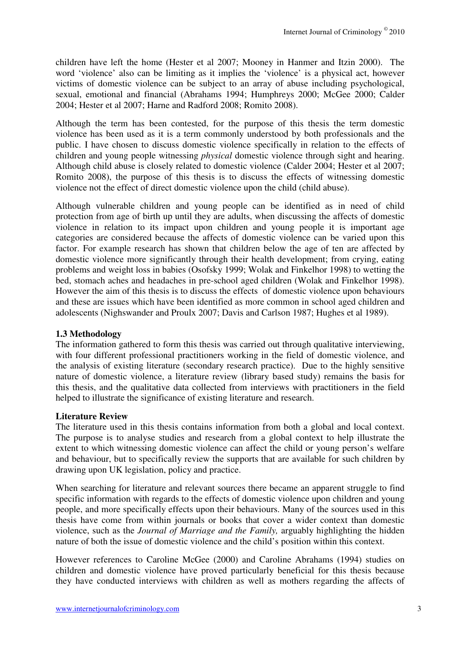children have left the home (Hester et al 2007; Mooney in Hanmer and Itzin 2000). The word 'violence' also can be limiting as it implies the 'violence' is a physical act, however victims of domestic violence can be subject to an array of abuse including psychological, sexual, emotional and financial (Abrahams 1994; Humphreys 2000; McGee 2000; Calder 2004; Hester et al 2007; Harne and Radford 2008; Romito 2008).

Although the term has been contested, for the purpose of this thesis the term domestic violence has been used as it is a term commonly understood by both professionals and the public. I have chosen to discuss domestic violence specifically in relation to the effects of children and young people witnessing *physical* domestic violence through sight and hearing. Although child abuse is closely related to domestic violence (Calder 2004; Hester et al 2007; Romito 2008), the purpose of this thesis is to discuss the effects of witnessing domestic violence not the effect of direct domestic violence upon the child (child abuse).

Although vulnerable children and young people can be identified as in need of child protection from age of birth up until they are adults, when discussing the affects of domestic violence in relation to its impact upon children and young people it is important age categories are considered because the affects of domestic violence can be varied upon this factor. For example research has shown that children below the age of ten are affected by domestic violence more significantly through their health development; from crying, eating problems and weight loss in babies (Osofsky 1999; Wolak and Finkelhor 1998) to wetting the bed, stomach aches and headaches in pre-school aged children (Wolak and Finkelhor 1998). However the aim of this thesis is to discuss the effects of domestic violence upon behaviours and these are issues which have been identified as more common in school aged children and adolescents (Nighswander and Proulx 2007; Davis and Carlson 1987; Hughes et al 1989).

## **1.3 Methodology**

The information gathered to form this thesis was carried out through qualitative interviewing, with four different professional practitioners working in the field of domestic violence, and the analysis of existing literature (secondary research practice). Due to the highly sensitive nature of domestic violence, a literature review (library based study) remains the basis for this thesis, and the qualitative data collected from interviews with practitioners in the field helped to illustrate the significance of existing literature and research.

## **Literature Review**

The literature used in this thesis contains information from both a global and local context. The purpose is to analyse studies and research from a global context to help illustrate the extent to which witnessing domestic violence can affect the child or young person's welfare and behaviour, but to specifically review the supports that are available for such children by drawing upon UK legislation, policy and practice.

When searching for literature and relevant sources there became an apparent struggle to find specific information with regards to the effects of domestic violence upon children and young people, and more specifically effects upon their behaviours. Many of the sources used in this thesis have come from within journals or books that cover a wider context than domestic violence, such as the *Journal of Marriage and the Family,* arguably highlighting the hidden nature of both the issue of domestic violence and the child's position within this context.

However references to Caroline McGee (2000) and Caroline Abrahams (1994) studies on children and domestic violence have proved particularly beneficial for this thesis because they have conducted interviews with children as well as mothers regarding the affects of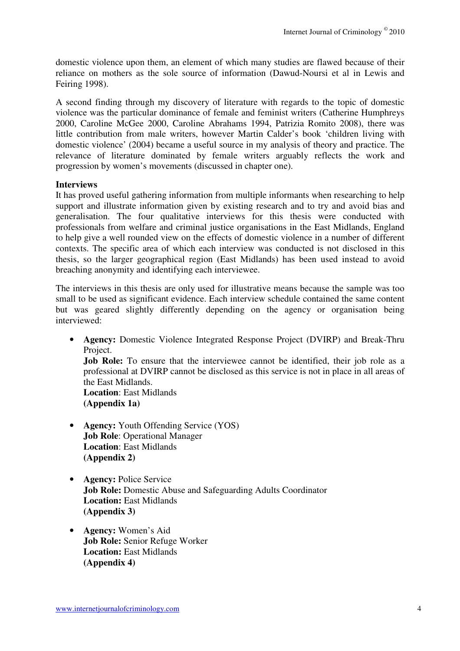domestic violence upon them, an element of which many studies are flawed because of their reliance on mothers as the sole source of information (Dawud-Noursi et al in Lewis and Feiring 1998).

A second finding through my discovery of literature with regards to the topic of domestic violence was the particular dominance of female and feminist writers (Catherine Humphreys 2000, Caroline McGee 2000, Caroline Abrahams 1994, Patrizia Romito 2008), there was little contribution from male writers, however Martin Calder's book 'children living with domestic violence' (2004) became a useful source in my analysis of theory and practice. The relevance of literature dominated by female writers arguably reflects the work and progression by women's movements (discussed in chapter one).

## **Interviews**

It has proved useful gathering information from multiple informants when researching to help support and illustrate information given by existing research and to try and avoid bias and generalisation. The four qualitative interviews for this thesis were conducted with professionals from welfare and criminal justice organisations in the East Midlands, England to help give a well rounded view on the effects of domestic violence in a number of different contexts. The specific area of which each interview was conducted is not disclosed in this thesis, so the larger geographical region (East Midlands) has been used instead to avoid breaching anonymity and identifying each interviewee.

The interviews in this thesis are only used for illustrative means because the sample was too small to be used as significant evidence. Each interview schedule contained the same content but was geared slightly differently depending on the agency or organisation being interviewed:

• **Agency:** Domestic Violence Integrated Response Project (DVIRP) and Break-Thru Project.

**Job Role:** To ensure that the interviewee cannot be identified, their job role as a professional at DVIRP cannot be disclosed as this service is not in place in all areas of the East Midlands.

**Location**: East Midlands **(Appendix 1a)**

- **Agency:** Youth Offending Service (YOS) **Job Role**: Operational Manager **Location**: East Midlands **(Appendix 2)**
- **Agency:** Police Service **Job Role:** Domestic Abuse and Safeguarding Adults Coordinator **Location:** East Midlands **(Appendix 3)**
- **Agency:** Women's Aid **Job Role:** Senior Refuge Worker **Location:** East Midlands **(Appendix 4)**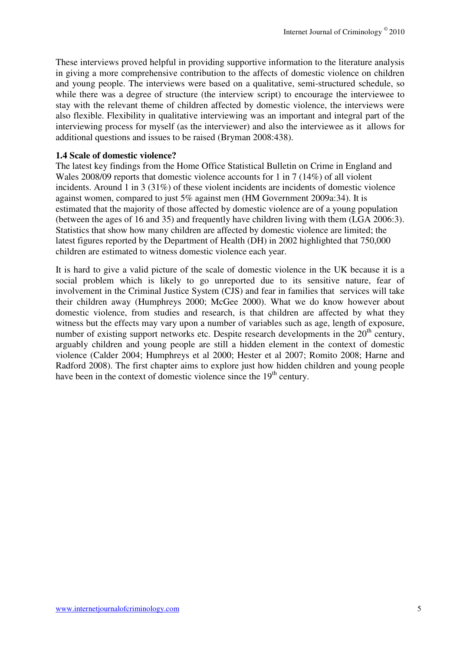These interviews proved helpful in providing supportive information to the literature analysis in giving a more comprehensive contribution to the affects of domestic violence on children and young people. The interviews were based on a qualitative, semi-structured schedule, so while there was a degree of structure (the interview script) to encourage the interviewee to stay with the relevant theme of children affected by domestic violence, the interviews were also flexible. Flexibility in qualitative interviewing was an important and integral part of the interviewing process for myself (as the interviewer) and also the interviewee as it allows for additional questions and issues to be raised (Bryman 2008:438).

#### **1.4 Scale of domestic violence?**

The latest key findings from the Home Office Statistical Bulletin on Crime in England and Wales 2008/09 reports that domestic violence accounts for 1 in 7 (14%) of all violent incidents. Around 1 in 3 (31%) of these violent incidents are incidents of domestic violence against women, compared to just 5% against men (HM Government 2009a:34). It is estimated that the majority of those affected by domestic violence are of a young population (between the ages of 16 and 35) and frequently have children living with them (LGA 2006:3). Statistics that show how many children are affected by domestic violence are limited; the latest figures reported by the Department of Health (DH) in 2002 highlighted that 750,000 children are estimated to witness domestic violence each year.

It is hard to give a valid picture of the scale of domestic violence in the UK because it is a social problem which is likely to go unreported due to its sensitive nature, fear of involvement in the Criminal Justice System (CJS) and fear in families that services will take their children away (Humphreys 2000; McGee 2000). What we do know however about domestic violence, from studies and research, is that children are affected by what they witness but the effects may vary upon a number of variables such as age, length of exposure, number of existing support networks etc. Despite research developments in the  $20<sup>th</sup>$  century, arguably children and young people are still a hidden element in the context of domestic violence (Calder 2004; Humphreys et al 2000; Hester et al 2007; Romito 2008; Harne and Radford 2008). The first chapter aims to explore just how hidden children and young people have been in the context of domestic violence since the 19<sup>th</sup> century.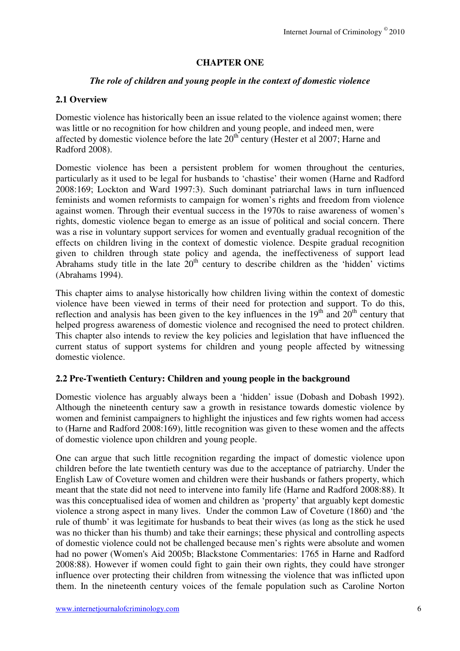## **CHAPTER ONE**

## *The role of children and young people in the context of domestic violence*

## **2.1 Overview**

Domestic violence has historically been an issue related to the violence against women; there was little or no recognition for how children and young people, and indeed men, were affected by domestic violence before the late  $20<sup>th</sup>$  century (Hester et al 2007; Harne and Radford 2008).

Domestic violence has been a persistent problem for women throughout the centuries, particularly as it used to be legal for husbands to 'chastise' their women (Harne and Radford 2008:169; Lockton and Ward 1997:3). Such dominant patriarchal laws in turn influenced feminists and women reformists to campaign for women's rights and freedom from violence against women. Through their eventual success in the 1970s to raise awareness of women's rights, domestic violence began to emerge as an issue of political and social concern. There was a rise in voluntary support services for women and eventually gradual recognition of the effects on children living in the context of domestic violence. Despite gradual recognition given to children through state policy and agenda, the ineffectiveness of support lead Abrahams study title in the late  $20<sup>th</sup>$  century to describe children as the 'hidden' victims (Abrahams 1994).

This chapter aims to analyse historically how children living within the context of domestic violence have been viewed in terms of their need for protection and support. To do this, reflection and analysis has been given to the key influences in the  $19<sup>th</sup>$  and  $20<sup>th</sup>$  century that helped progress awareness of domestic violence and recognised the need to protect children. This chapter also intends to review the key policies and legislation that have influenced the current status of support systems for children and young people affected by witnessing domestic violence.

# **2.2 Pre-Twentieth Century: Children and young people in the background**

Domestic violence has arguably always been a 'hidden' issue (Dobash and Dobash 1992). Although the nineteenth century saw a growth in resistance towards domestic violence by women and feminist campaigners to highlight the injustices and few rights women had access to (Harne and Radford 2008:169), little recognition was given to these women and the affects of domestic violence upon children and young people.

One can argue that such little recognition regarding the impact of domestic violence upon children before the late twentieth century was due to the acceptance of patriarchy. Under the English Law of Coveture women and children were their husbands or fathers property, which meant that the state did not need to intervene into family life (Harne and Radford 2008:88). It was this conceptualised idea of women and children as 'property' that arguably kept domestic violence a strong aspect in many lives. Under the common Law of Coveture (1860) and 'the rule of thumb' it was legitimate for husbands to beat their wives (as long as the stick he used was no thicker than his thumb) and take their earnings; these physical and controlling aspects of domestic violence could not be challenged because men's rights were absolute and women had no power (Women's Aid 2005b; Blackstone Commentaries: 1765 in Harne and Radford 2008:88). However if women could fight to gain their own rights, they could have stronger influence over protecting their children from witnessing the violence that was inflicted upon them. In the nineteenth century voices of the female population such as Caroline Norton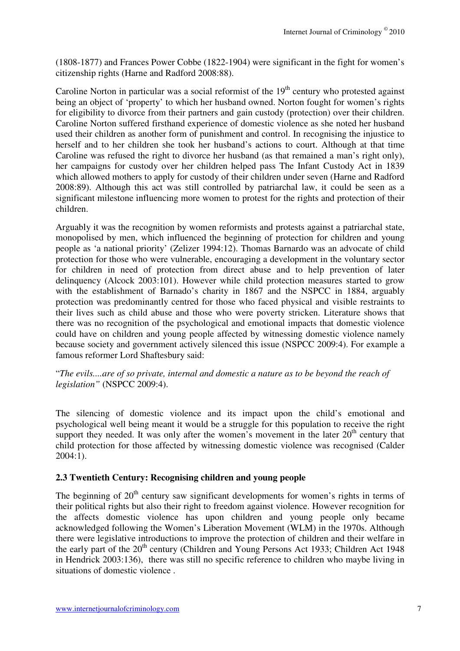(1808-1877) and Frances Power Cobbe (1822-1904) were significant in the fight for women's citizenship rights (Harne and Radford 2008:88).

Caroline Norton in particular was a social reformist of the  $19<sup>th</sup>$  century who protested against being an object of 'property' to which her husband owned. Norton fought for women's rights for eligibility to divorce from their partners and gain custody (protection) over their children. Caroline Norton suffered firsthand experience of domestic violence as she noted her husband used their children as another form of punishment and control. In recognising the injustice to herself and to her children she took her husband's actions to court. Although at that time Caroline was refused the right to divorce her husband (as that remained a man's right only), her campaigns for custody over her children helped pass The Infant Custody Act in 1839 which allowed mothers to apply for custody of their children under seven (Harne and Radford 2008:89). Although this act was still controlled by patriarchal law, it could be seen as a significant milestone influencing more women to protest for the rights and protection of their children.

Arguably it was the recognition by women reformists and protests against a patriarchal state, monopolised by men, which influenced the beginning of protection for children and young people as 'a national priority' (Zelizer 1994:12). Thomas Barnardo was an advocate of child protection for those who were vulnerable, encouraging a development in the voluntary sector for children in need of protection from direct abuse and to help prevention of later delinquency (Alcock 2003:101). However while child protection measures started to grow with the establishment of Barnado's charity in 1867 and the NSPCC in 1884, arguably protection was predominantly centred for those who faced physical and visible restraints to their lives such as child abuse and those who were poverty stricken. Literature shows that there was no recognition of the psychological and emotional impacts that domestic violence could have on children and young people affected by witnessing domestic violence namely because society and government actively silenced this issue (NSPCC 2009:4). For example a famous reformer Lord Shaftesbury said:

"*The evils....are of so private, internal and domestic a nature as to be beyond the reach of legislation"* (NSPCC 2009:4).

The silencing of domestic violence and its impact upon the child's emotional and psychological well being meant it would be a struggle for this population to receive the right support they needed. It was only after the women's movement in the later  $20<sup>th</sup>$  century that child protection for those affected by witnessing domestic violence was recognised (Calder 2004:1).

# **2.3 Twentieth Century: Recognising children and young people**

The beginning of  $20<sup>th</sup>$  century saw significant developments for women's rights in terms of their political rights but also their right to freedom against violence. However recognition for the affects domestic violence has upon children and young people only became acknowledged following the Women's Liberation Movement (WLM) in the 1970s. Although there were legislative introductions to improve the protection of children and their welfare in the early part of the 20<sup>th</sup> century (Children and Young Persons Act 1933; Children Act 1948 in Hendrick 2003:136), there was still no specific reference to children who maybe living in situations of domestic violence .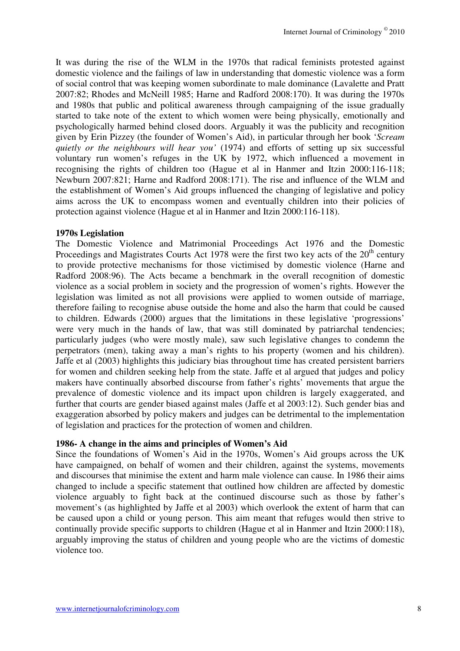It was during the rise of the WLM in the 1970s that radical feminists protested against domestic violence and the failings of law in understanding that domestic violence was a form of social control that was keeping women subordinate to male dominance (Lavalette and Pratt 2007:82; Rhodes and McNeill 1985; Harne and Radford 2008:170). It was during the 1970s and 1980s that public and political awareness through campaigning of the issue gradually started to take note of the extent to which women were being physically, emotionally and psychologically harmed behind closed doors. Arguably it was the publicity and recognition given by Erin Pizzey (the founder of Women's Aid), in particular through her book '*Scream quietly or the neighbours will hear you'* (1974) and efforts of setting up six successful voluntary run women's refuges in the UK by 1972, which influenced a movement in recognising the rights of children too (Hague et al in Hanmer and Itzin 2000:116-118; Newburn 2007:821; Harne and Radford 2008:171). The rise and influence of the WLM and the establishment of Women's Aid groups influenced the changing of legislative and policy aims across the UK to encompass women and eventually children into their policies of protection against violence (Hague et al in Hanmer and Itzin 2000:116-118).

#### **1970s Legislation**

The Domestic Violence and Matrimonial Proceedings Act 1976 and the Domestic Proceedings and Magistrates Courts Act 1978 were the first two key acts of the  $20<sup>th</sup>$  century to provide protective mechanisms for those victimised by domestic violence (Harne and Radford 2008:96). The Acts became a benchmark in the overall recognition of domestic violence as a social problem in society and the progression of women's rights. However the legislation was limited as not all provisions were applied to women outside of marriage, therefore failing to recognise abuse outside the home and also the harm that could be caused to children. Edwards (2000) argues that the limitations in these legislative 'progressions' were very much in the hands of law, that was still dominated by patriarchal tendencies; particularly judges (who were mostly male), saw such legislative changes to condemn the perpetrators (men), taking away a man's rights to his property (women and his children). Jaffe et al (2003) highlights this judiciary bias throughout time has created persistent barriers for women and children seeking help from the state. Jaffe et al argued that judges and policy makers have continually absorbed discourse from father's rights' movements that argue the prevalence of domestic violence and its impact upon children is largely exaggerated, and further that courts are gender biased against males (Jaffe et al 2003:12). Such gender bias and exaggeration absorbed by policy makers and judges can be detrimental to the implementation of legislation and practices for the protection of women and children.

## **1986- A change in the aims and principles of Women's Aid**

Since the foundations of Women's Aid in the 1970s, Women's Aid groups across the UK have campaigned, on behalf of women and their children, against the systems, movements and discourses that minimise the extent and harm male violence can cause. In 1986 their aims changed to include a specific statement that outlined how children are affected by domestic violence arguably to fight back at the continued discourse such as those by father's movement's (as highlighted by Jaffe et al 2003) which overlook the extent of harm that can be caused upon a child or young person. This aim meant that refuges would then strive to continually provide specific supports to children (Hague et al in Hanmer and Itzin 2000:118), arguably improving the status of children and young people who are the victims of domestic violence too.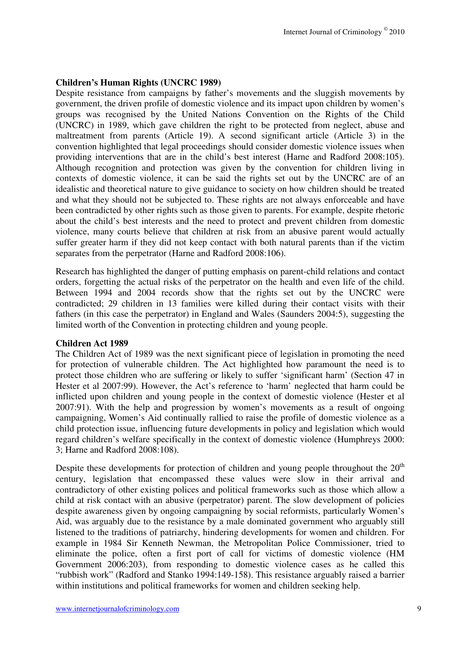## **Children's Human Rights (UNCRC 1989)**

Despite resistance from campaigns by father's movements and the sluggish movements by government, the driven profile of domestic violence and its impact upon children by women's groups was recognised by the United Nations Convention on the Rights of the Child (UNCRC) in 1989, which gave children the right to be protected from neglect, abuse and maltreatment from parents (Article 19). A second significant article (Article 3) in the convention highlighted that legal proceedings should consider domestic violence issues when providing interventions that are in the child's best interest (Harne and Radford 2008:105). Although recognition and protection was given by the convention for children living in contexts of domestic violence, it can be said the rights set out by the UNCRC are of an idealistic and theoretical nature to give guidance to society on how children should be treated and what they should not be subjected to. These rights are not always enforceable and have been contradicted by other rights such as those given to parents. For example, despite rhetoric about the child's best interests and the need to protect and prevent children from domestic violence, many courts believe that children at risk from an abusive parent would actually suffer greater harm if they did not keep contact with both natural parents than if the victim separates from the perpetrator (Harne and Radford 2008:106).

Research has highlighted the danger of putting emphasis on parent-child relations and contact orders, forgetting the actual risks of the perpetrator on the health and even life of the child. Between 1994 and 2004 records show that the rights set out by the UNCRC were contradicted; 29 children in 13 families were killed during their contact visits with their fathers (in this case the perpetrator) in England and Wales (Saunders 2004:5), suggesting the limited worth of the Convention in protecting children and young people.

## **Children Act 1989**

The Children Act of 1989 was the next significant piece of legislation in promoting the need for protection of vulnerable children. The Act highlighted how paramount the need is to protect those children who are suffering or likely to suffer 'significant harm' (Section 47 in Hester et al 2007:99). However, the Act's reference to 'harm' neglected that harm could be inflicted upon children and young people in the context of domestic violence (Hester et al 2007:91). With the help and progression by women's movements as a result of ongoing campaigning, Women's Aid continually rallied to raise the profile of domestic violence as a child protection issue, influencing future developments in policy and legislation which would regard children's welfare specifically in the context of domestic violence (Humphreys 2000: 3; Harne and Radford 2008:108).

Despite these developments for protection of children and young people throughout the  $20<sup>th</sup>$ century, legislation that encompassed these values were slow in their arrival and contradictory of other existing polices and political frameworks such as those which allow a child at risk contact with an abusive (perpetrator) parent. The slow development of policies despite awareness given by ongoing campaigning by social reformists, particularly Women's Aid, was arguably due to the resistance by a male dominated government who arguably still listened to the traditions of patriarchy, hindering developments for women and children. For example in 1984 Sir Kenneth Newman, the Metropolitan Police Commissioner, tried to eliminate the police, often a first port of call for victims of domestic violence (HM Government 2006:203), from responding to domestic violence cases as he called this "rubbish work" (Radford and Stanko 1994:149-158). This resistance arguably raised a barrier within institutions and political frameworks for women and children seeking help.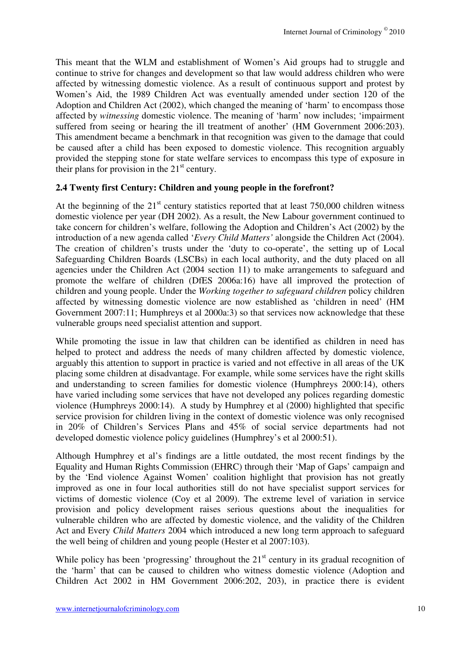This meant that the WLM and establishment of Women's Aid groups had to struggle and continue to strive for changes and development so that law would address children who were affected by witnessing domestic violence. As a result of continuous support and protest by Women's Aid, the 1989 Children Act was eventually amended under section 120 of the Adoption and Children Act (2002), which changed the meaning of 'harm' to encompass those affected by *witnessing* domestic violence. The meaning of 'harm' now includes; 'impairment suffered from seeing or hearing the ill treatment of another' (HM Government 2006:203). This amendment became a benchmark in that recognition was given to the damage that could be caused after a child has been exposed to domestic violence. This recognition arguably provided the stepping stone for state welfare services to encompass this type of exposure in their plans for provision in the  $21<sup>st</sup>$  century.

# **2.4 Twenty first Century: Children and young people in the forefront?**

At the beginning of the  $21<sup>st</sup>$  century statistics reported that at least 750,000 children witness domestic violence per year (DH 2002). As a result, the New Labour government continued to take concern for children's welfare, following the Adoption and Children's Act (2002) by the introduction of a new agenda called '*Every Child Matters'* alongside the Children Act (2004). The creation of children's trusts under the 'duty to co-operate', the setting up of Local Safeguarding Children Boards (LSCBs) in each local authority, and the duty placed on all agencies under the Children Act (2004 section 11) to make arrangements to safeguard and promote the welfare of children (DfES 2006a:16) have all improved the protection of children and young people. Under the *Working together to safeguard children* policy children affected by witnessing domestic violence are now established as 'children in need' (HM Government 2007:11; Humphreys et al 2000a:3) so that services now acknowledge that these vulnerable groups need specialist attention and support.

While promoting the issue in law that children can be identified as children in need has helped to protect and address the needs of many children affected by domestic violence, arguably this attention to support in practice is varied and not effective in all areas of the UK placing some children at disadvantage. For example, while some services have the right skills and understanding to screen families for domestic violence (Humphreys 2000:14), others have varied including some services that have not developed any polices regarding domestic violence (Humphreys 2000:14). A study by Humphrey et al (2000) highlighted that specific service provision for children living in the context of domestic violence was only recognised in 20% of Children's Services Plans and 45% of social service departments had not developed domestic violence policy guidelines (Humphrey's et al 2000:51).

Although Humphrey et al's findings are a little outdated, the most recent findings by the Equality and Human Rights Commission (EHRC) through their 'Map of Gaps' campaign and by the 'End violence Against Women' coalition highlight that provision has not greatly improved as one in four local authorities still do not have specialist support services for victims of domestic violence (Coy et al 2009). The extreme level of variation in service provision and policy development raises serious questions about the inequalities for vulnerable children who are affected by domestic violence, and the validity of the Children Act and Every *Child Matters* 2004 which introduced a new long term approach to safeguard the well being of children and young people (Hester et al 2007:103).

While policy has been 'progressing' throughout the  $21<sup>st</sup>$  century in its gradual recognition of the 'harm' that can be caused to children who witness domestic violence (Adoption and Children Act 2002 in HM Government 2006:202, 203), in practice there is evident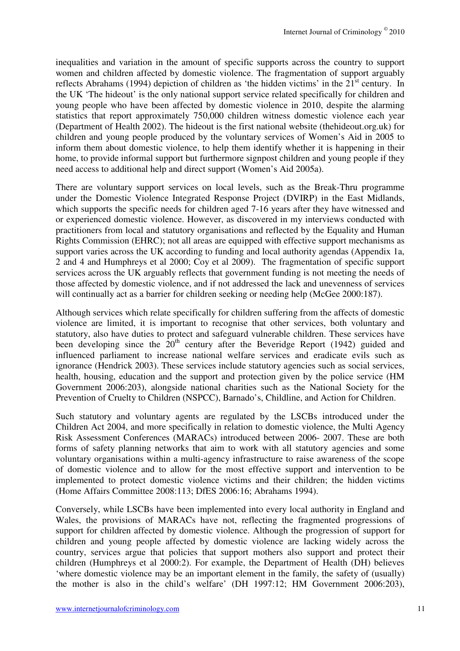inequalities and variation in the amount of specific supports across the country to support women and children affected by domestic violence. The fragmentation of support arguably reflects Abrahams (1994) depiction of children as 'the hidden victims' in the  $21<sup>st</sup>$  century. In the UK 'The hideout' is the only national support service related specifically for children and young people who have been affected by domestic violence in 2010, despite the alarming statistics that report approximately 750,000 children witness domestic violence each year (Department of Health 2002). The hideout is the first national website (thehideout.org.uk) for children and young people produced by the voluntary services of Women's Aid in 2005 to inform them about domestic violence, to help them identify whether it is happening in their home, to provide informal support but furthermore signpost children and young people if they need access to additional help and direct support (Women's Aid 2005a).

There are voluntary support services on local levels, such as the Break-Thru programme under the Domestic Violence Integrated Response Project (DVIRP) in the East Midlands, which supports the specific needs for children aged 7-16 years after they have witnessed and or experienced domestic violence. However, as discovered in my interviews conducted with practitioners from local and statutory organisations and reflected by the Equality and Human Rights Commission (EHRC); not all areas are equipped with effective support mechanisms as support varies across the UK according to funding and local authority agendas (Appendix 1a, 2 and 4 and Humphreys et al 2000; Coy et al 2009). The fragmentation of specific support services across the UK arguably reflects that government funding is not meeting the needs of those affected by domestic violence, and if not addressed the lack and unevenness of services will continually act as a barrier for children seeking or needing help (McGee 2000:187).

Although services which relate specifically for children suffering from the affects of domestic violence are limited, it is important to recognise that other services, both voluntary and statutory, also have duties to protect and safeguard vulnerable children. These services have been developing since the  $20<sup>th</sup>$  century after the Beveridge Report (1942) guided and influenced parliament to increase national welfare services and eradicate evils such as ignorance (Hendrick 2003). These services include statutory agencies such as social services, health, housing, education and the support and protection given by the police service (HM Government 2006:203), alongside national charities such as the National Society for the Prevention of Cruelty to Children (NSPCC), Barnado's, Childline, and Action for Children.

Such statutory and voluntary agents are regulated by the LSCBs introduced under the Children Act 2004, and more specifically in relation to domestic violence, the Multi Agency Risk Assessment Conferences (MARACs) introduced between 2006- 2007. These are both forms of safety planning networks that aim to work with all statutory agencies and some voluntary organisations within a multi-agency infrastructure to raise awareness of the scope of domestic violence and to allow for the most effective support and intervention to be implemented to protect domestic violence victims and their children; the hidden victims (Home Affairs Committee 2008:113; DfES 2006:16; Abrahams 1994).

Conversely, while LSCBs have been implemented into every local authority in England and Wales, the provisions of MARACs have not, reflecting the fragmented progressions of support for children affected by domestic violence. Although the progression of support for children and young people affected by domestic violence are lacking widely across the country, services argue that policies that support mothers also support and protect their children (Humphreys et al 2000:2). For example, the Department of Health (DH) believes 'where domestic violence may be an important element in the family, the safety of (usually) the mother is also in the child's welfare' (DH 1997:12; HM Government 2006:203),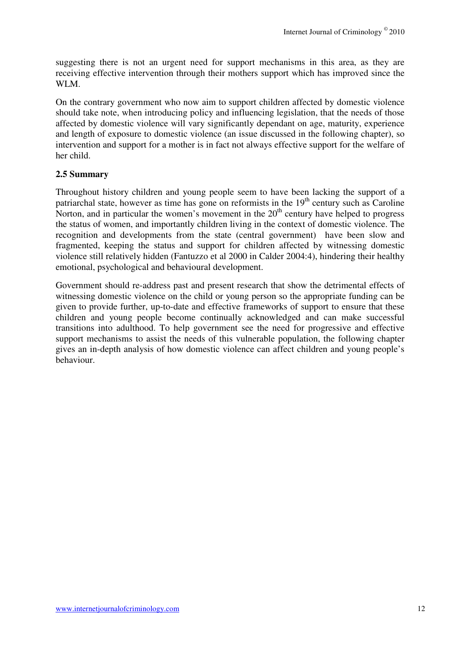suggesting there is not an urgent need for support mechanisms in this area, as they are receiving effective intervention through their mothers support which has improved since the WLM.

On the contrary government who now aim to support children affected by domestic violence should take note, when introducing policy and influencing legislation, that the needs of those affected by domestic violence will vary significantly dependant on age, maturity, experience and length of exposure to domestic violence (an issue discussed in the following chapter), so intervention and support for a mother is in fact not always effective support for the welfare of her child.

## **2.5 Summary**

Throughout history children and young people seem to have been lacking the support of a patriarchal state, however as time has gone on reformists in the  $19<sup>th</sup>$  century such as Caroline Norton, and in particular the women's movement in the  $20<sup>th</sup>$  century have helped to progress the status of women, and importantly children living in the context of domestic violence. The recognition and developments from the state (central government) have been slow and fragmented, keeping the status and support for children affected by witnessing domestic violence still relatively hidden (Fantuzzo et al 2000 in Calder 2004:4), hindering their healthy emotional, psychological and behavioural development.

Government should re-address past and present research that show the detrimental effects of witnessing domestic violence on the child or young person so the appropriate funding can be given to provide further, up-to-date and effective frameworks of support to ensure that these children and young people become continually acknowledged and can make successful transitions into adulthood. To help government see the need for progressive and effective support mechanisms to assist the needs of this vulnerable population, the following chapter gives an in-depth analysis of how domestic violence can affect children and young people's behaviour.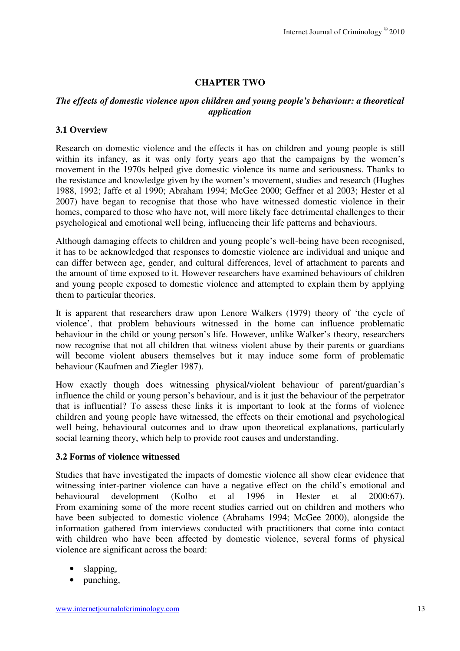## **CHAPTER TWO**

## *The effects of domestic violence upon children and young people's behaviour: a theoretical application*

## **3.1 Overview**

Research on domestic violence and the effects it has on children and young people is still within its infancy, as it was only forty years ago that the campaigns by the women's movement in the 1970s helped give domestic violence its name and seriousness. Thanks to the resistance and knowledge given by the women's movement, studies and research (Hughes 1988, 1992; Jaffe et al 1990; Abraham 1994; McGee 2000; Geffner et al 2003; Hester et al 2007) have began to recognise that those who have witnessed domestic violence in their homes, compared to those who have not, will more likely face detrimental challenges to their psychological and emotional well being, influencing their life patterns and behaviours.

Although damaging effects to children and young people's well-being have been recognised, it has to be acknowledged that responses to domestic violence are individual and unique and can differ between age, gender, and cultural differences, level of attachment to parents and the amount of time exposed to it. However researchers have examined behaviours of children and young people exposed to domestic violence and attempted to explain them by applying them to particular theories.

It is apparent that researchers draw upon Lenore Walkers (1979) theory of 'the cycle of violence', that problem behaviours witnessed in the home can influence problematic behaviour in the child or young person's life. However, unlike Walker's theory, researchers now recognise that not all children that witness violent abuse by their parents or guardians will become violent abusers themselves but it may induce some form of problematic behaviour (Kaufmen and Ziegler 1987).

How exactly though does witnessing physical/violent behaviour of parent/guardian's influence the child or young person's behaviour, and is it just the behaviour of the perpetrator that is influential? To assess these links it is important to look at the forms of violence children and young people have witnessed, the effects on their emotional and psychological well being, behavioural outcomes and to draw upon theoretical explanations, particularly social learning theory, which help to provide root causes and understanding.

## **3.2 Forms of violence witnessed**

Studies that have investigated the impacts of domestic violence all show clear evidence that witnessing inter-partner violence can have a negative effect on the child's emotional and behavioural development (Kolbo et al 1996 in Hester et al 2000:67). From examining some of the more recent studies carried out on children and mothers who have been subjected to domestic violence (Abrahams 1994; McGee 2000), alongside the information gathered from interviews conducted with practitioners that come into contact with children who have been affected by domestic violence, several forms of physical violence are significant across the board:

- slapping,
- punching,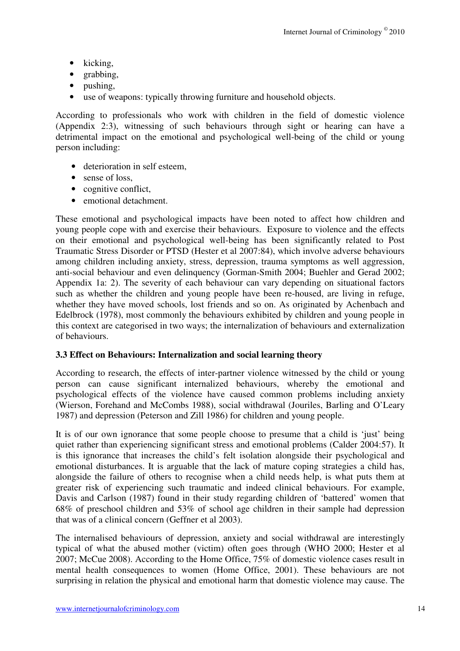- kicking,
- grabbing,
- pushing,
- use of weapons: typically throwing furniture and household objects.

According to professionals who work with children in the field of domestic violence (Appendix 2:3), witnessing of such behaviours through sight or hearing can have a detrimental impact on the emotional and psychological well-being of the child or young person including:

- deterioration in self esteem.
- sense of loss.
- cognitive conflict,
- emotional detachment.

These emotional and psychological impacts have been noted to affect how children and young people cope with and exercise their behaviours. Exposure to violence and the effects on their emotional and psychological well-being has been significantly related to Post Traumatic Stress Disorder or PTSD (Hester et al 2007:84), which involve adverse behaviours among children including anxiety, stress, depression, trauma symptoms as well aggression, anti-social behaviour and even delinquency (Gorman-Smith 2004; Buehler and Gerad 2002; Appendix 1a: 2). The severity of each behaviour can vary depending on situational factors such as whether the children and young people have been re-housed, are living in refuge, whether they have moved schools, lost friends and so on. As originated by Achenbach and Edelbrock (1978), most commonly the behaviours exhibited by children and young people in this context are categorised in two ways; the internalization of behaviours and externalization of behaviours.

# **3.3 Effect on Behaviours: Internalization and social learning theory**

According to research, the effects of inter-partner violence witnessed by the child or young person can cause significant internalized behaviours, whereby the emotional and psychological effects of the violence have caused common problems including anxiety (Wierson, Forehand and McCombs 1988), social withdrawal (Jouriles, Barling and O'Leary 1987) and depression (Peterson and Zill 1986) for children and young people.

It is of our own ignorance that some people choose to presume that a child is 'just' being quiet rather than experiencing significant stress and emotional problems (Calder 2004:57). It is this ignorance that increases the child's felt isolation alongside their psychological and emotional disturbances. It is arguable that the lack of mature coping strategies a child has, alongside the failure of others to recognise when a child needs help, is what puts them at greater risk of experiencing such traumatic and indeed clinical behaviours. For example, Davis and Carlson (1987) found in their study regarding children of 'battered' women that 68% of preschool children and 53% of school age children in their sample had depression that was of a clinical concern (Geffner et al 2003).

The internalised behaviours of depression, anxiety and social withdrawal are interestingly typical of what the abused mother (victim) often goes through (WHO 2000; Hester et al 2007; McCue 2008). According to the Home Office, 75% of domestic violence cases result in mental health consequences to women (Home Office, 2001). These behaviours are not surprising in relation the physical and emotional harm that domestic violence may cause. The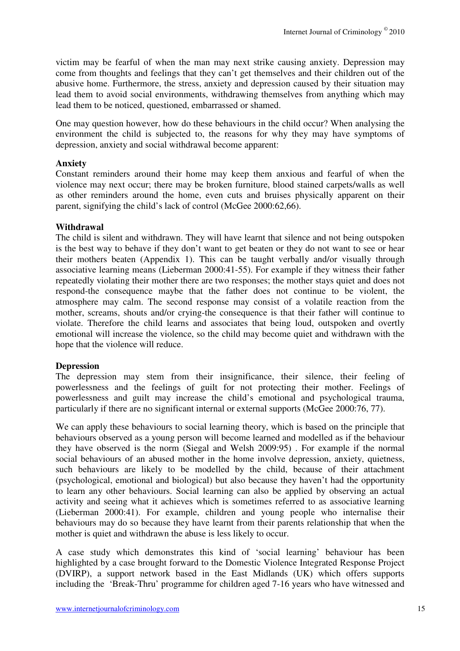victim may be fearful of when the man may next strike causing anxiety. Depression may come from thoughts and feelings that they can't get themselves and their children out of the abusive home. Furthermore, the stress, anxiety and depression caused by their situation may lead them to avoid social environments, withdrawing themselves from anything which may lead them to be noticed, questioned, embarrassed or shamed.

One may question however, how do these behaviours in the child occur? When analysing the environment the child is subjected to, the reasons for why they may have symptoms of depression, anxiety and social withdrawal become apparent:

## **Anxiety**

Constant reminders around their home may keep them anxious and fearful of when the violence may next occur; there may be broken furniture, blood stained carpets/walls as well as other reminders around the home, even cuts and bruises physically apparent on their parent, signifying the child's lack of control (McGee 2000:62,66).

## **Withdrawal**

The child is silent and withdrawn. They will have learnt that silence and not being outspoken is the best way to behave if they don't want to get beaten or they do not want to see or hear their mothers beaten (Appendix 1). This can be taught verbally and/or visually through associative learning means (Lieberman 2000:41-55). For example if they witness their father repeatedly violating their mother there are two responses; the mother stays quiet and does not respond-the consequence maybe that the father does not continue to be violent, the atmosphere may calm. The second response may consist of a volatile reaction from the mother, screams, shouts and/or crying-the consequence is that their father will continue to violate. Therefore the child learns and associates that being loud, outspoken and overtly emotional will increase the violence, so the child may become quiet and withdrawn with the hope that the violence will reduce.

# **Depression**

The depression may stem from their insignificance, their silence, their feeling of powerlessness and the feelings of guilt for not protecting their mother. Feelings of powerlessness and guilt may increase the child's emotional and psychological trauma, particularly if there are no significant internal or external supports (McGee 2000:76, 77).

We can apply these behaviours to social learning theory, which is based on the principle that behaviours observed as a young person will become learned and modelled as if the behaviour they have observed is the norm (Siegal and Welsh 2009:95) . For example if the normal social behaviours of an abused mother in the home involve depression, anxiety, quietness, such behaviours are likely to be modelled by the child, because of their attachment (psychological, emotional and biological) but also because they haven't had the opportunity to learn any other behaviours. Social learning can also be applied by observing an actual activity and seeing what it achieves which is sometimes referred to as associative learning (Lieberman 2000:41). For example, children and young people who internalise their behaviours may do so because they have learnt from their parents relationship that when the mother is quiet and withdrawn the abuse is less likely to occur.

A case study which demonstrates this kind of 'social learning' behaviour has been highlighted by a case brought forward to the Domestic Violence Integrated Response Project (DVIRP), a support network based in the East Midlands (UK) which offers supports including the 'Break-Thru' programme for children aged 7-16 years who have witnessed and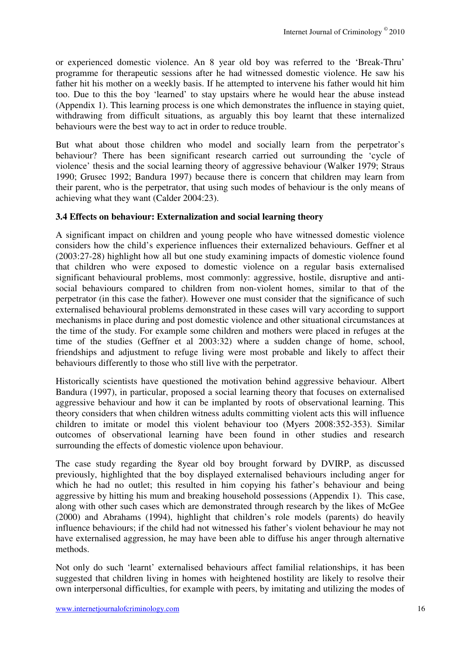or experienced domestic violence. An 8 year old boy was referred to the 'Break-Thru' programme for therapeutic sessions after he had witnessed domestic violence. He saw his father hit his mother on a weekly basis. If he attempted to intervene his father would hit him too. Due to this the boy 'learned' to stay upstairs where he would hear the abuse instead (Appendix 1). This learning process is one which demonstrates the influence in staying quiet, withdrawing from difficult situations, as arguably this boy learnt that these internalized behaviours were the best way to act in order to reduce trouble.

But what about those children who model and socially learn from the perpetrator's behaviour? There has been significant research carried out surrounding the 'cycle of violence' thesis and the social learning theory of aggressive behaviour (Walker 1979; Straus 1990; Grusec 1992; Bandura 1997) because there is concern that children may learn from their parent, who is the perpetrator, that using such modes of behaviour is the only means of achieving what they want (Calder 2004:23).

## **3.4 Effects on behaviour: Externalization and social learning theory**

A significant impact on children and young people who have witnessed domestic violence considers how the child's experience influences their externalized behaviours. Geffner et al (2003:27-28) highlight how all but one study examining impacts of domestic violence found that children who were exposed to domestic violence on a regular basis externalised significant behavioural problems, most commonly: aggressive, hostile, disruptive and antisocial behaviours compared to children from non-violent homes, similar to that of the perpetrator (in this case the father). However one must consider that the significance of such externalised behavioural problems demonstrated in these cases will vary according to support mechanisms in place during and post domestic violence and other situational circumstances at the time of the study. For example some children and mothers were placed in refuges at the time of the studies (Geffner et al 2003:32) where a sudden change of home, school, friendships and adjustment to refuge living were most probable and likely to affect their behaviours differently to those who still live with the perpetrator.

Historically scientists have questioned the motivation behind aggressive behaviour. Albert Bandura (1997), in particular, proposed a social learning theory that focuses on externalised aggressive behaviour and how it can be implanted by roots of observational learning. This theory considers that when children witness adults committing violent acts this will influence children to imitate or model this violent behaviour too (Myers 2008:352-353). Similar outcomes of observational learning have been found in other studies and research surrounding the effects of domestic violence upon behaviour.

The case study regarding the 8year old boy brought forward by DVIRP, as discussed previously, highlighted that the boy displayed externalised behaviours including anger for which he had no outlet; this resulted in him copying his father's behaviour and being aggressive by hitting his mum and breaking household possessions (Appendix 1). This case, along with other such cases which are demonstrated through research by the likes of McGee (2000) and Abrahams (1994), highlight that children's role models (parents) do heavily influence behaviours; if the child had not witnessed his father's violent behaviour he may not have externalised aggression, he may have been able to diffuse his anger through alternative methods.

Not only do such 'learnt' externalised behaviours affect familial relationships, it has been suggested that children living in homes with heightened hostility are likely to resolve their own interpersonal difficulties, for example with peers, by imitating and utilizing the modes of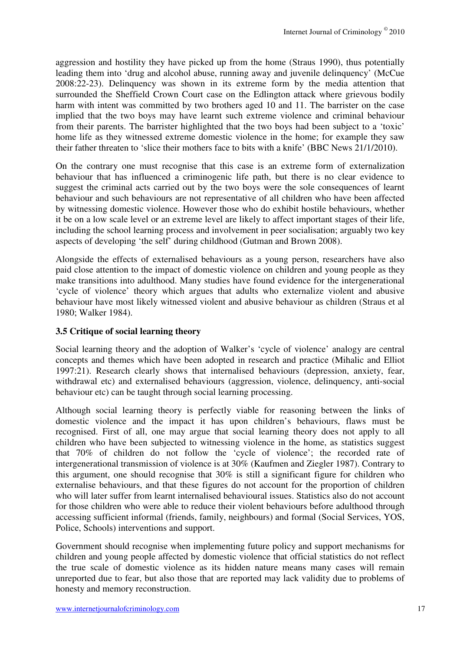aggression and hostility they have picked up from the home (Straus 1990), thus potentially leading them into 'drug and alcohol abuse, running away and juvenile delinquency' (McCue 2008:22-23). Delinquency was shown in its extreme form by the media attention that surrounded the Sheffield Crown Court case on the Edlington attack where grievous bodily harm with intent was committed by two brothers aged 10 and 11. The barrister on the case implied that the two boys may have learnt such extreme violence and criminal behaviour from their parents. The barrister highlighted that the two boys had been subject to a 'toxic' home life as they witnessed extreme domestic violence in the home; for example they saw their father threaten to 'slice their mothers face to bits with a knife' (BBC News 21/1/2010).

On the contrary one must recognise that this case is an extreme form of externalization behaviour that has influenced a criminogenic life path, but there is no clear evidence to suggest the criminal acts carried out by the two boys were the sole consequences of learnt behaviour and such behaviours are not representative of all children who have been affected by witnessing domestic violence. However those who do exhibit hostile behaviours, whether it be on a low scale level or an extreme level are likely to affect important stages of their life, including the school learning process and involvement in peer socialisation; arguably two key aspects of developing 'the self' during childhood (Gutman and Brown 2008).

Alongside the effects of externalised behaviours as a young person, researchers have also paid close attention to the impact of domestic violence on children and young people as they make transitions into adulthood. Many studies have found evidence for the intergenerational 'cycle of violence' theory which argues that adults who externalize violent and abusive behaviour have most likely witnessed violent and abusive behaviour as children (Straus et al 1980; Walker 1984).

# **3.5 Critique of social learning theory**

Social learning theory and the adoption of Walker's 'cycle of violence' analogy are central concepts and themes which have been adopted in research and practice (Mihalic and Elliot 1997:21). Research clearly shows that internalised behaviours (depression, anxiety, fear, withdrawal etc) and externalised behaviours (aggression, violence, delinquency, anti-social behaviour etc) can be taught through social learning processing.

Although social learning theory is perfectly viable for reasoning between the links of domestic violence and the impact it has upon children's behaviours, flaws must be recognised. First of all, one may argue that social learning theory does not apply to all children who have been subjected to witnessing violence in the home, as statistics suggest that 70% of children do not follow the 'cycle of violence'; the recorded rate of intergenerational transmission of violence is at 30% (Kaufmen and Ziegler 1987). Contrary to this argument, one should recognise that 30% is still a significant figure for children who externalise behaviours, and that these figures do not account for the proportion of children who will later suffer from learnt internalised behavioural issues. Statistics also do not account for those children who were able to reduce their violent behaviours before adulthood through accessing sufficient informal (friends, family, neighbours) and formal (Social Services, YOS, Police, Schools) interventions and support.

Government should recognise when implementing future policy and support mechanisms for children and young people affected by domestic violence that official statistics do not reflect the true scale of domestic violence as its hidden nature means many cases will remain unreported due to fear, but also those that are reported may lack validity due to problems of honesty and memory reconstruction.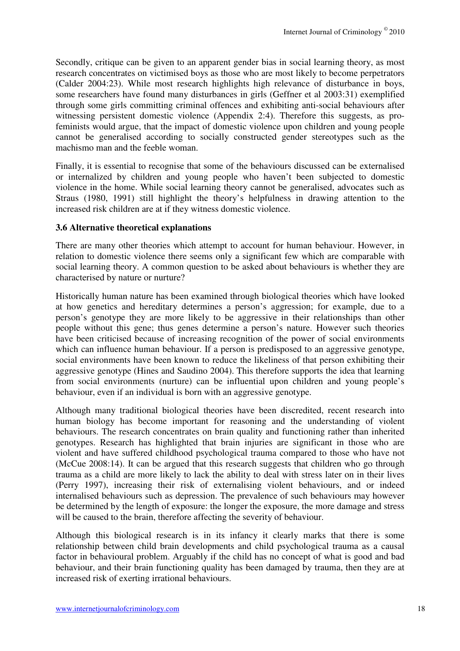Secondly, critique can be given to an apparent gender bias in social learning theory, as most research concentrates on victimised boys as those who are most likely to become perpetrators (Calder 2004:23). While most research highlights high relevance of disturbance in boys, some researchers have found many disturbances in girls (Geffner et al 2003:31) exemplified through some girls committing criminal offences and exhibiting anti-social behaviours after witnessing persistent domestic violence (Appendix 2:4). Therefore this suggests, as profeminists would argue, that the impact of domestic violence upon children and young people cannot be generalised according to socially constructed gender stereotypes such as the machismo man and the feeble woman.

Finally, it is essential to recognise that some of the behaviours discussed can be externalised or internalized by children and young people who haven't been subjected to domestic violence in the home. While social learning theory cannot be generalised, advocates such as Straus (1980, 1991) still highlight the theory's helpfulness in drawing attention to the increased risk children are at if they witness domestic violence.

#### **3.6 Alternative theoretical explanations**

There are many other theories which attempt to account for human behaviour. However, in relation to domestic violence there seems only a significant few which are comparable with social learning theory. A common question to be asked about behaviours is whether they are characterised by nature or nurture?

Historically human nature has been examined through biological theories which have looked at how genetics and hereditary determines a person's aggression; for example, due to a person's genotype they are more likely to be aggressive in their relationships than other people without this gene; thus genes determine a person's nature. However such theories have been criticised because of increasing recognition of the power of social environments which can influence human behaviour. If a person is predisposed to an aggressive genotype, social environments have been known to reduce the likeliness of that person exhibiting their aggressive genotype (Hines and Saudino 2004). This therefore supports the idea that learning from social environments (nurture) can be influential upon children and young people's behaviour, even if an individual is born with an aggressive genotype.

Although many traditional biological theories have been discredited, recent research into human biology has become important for reasoning and the understanding of violent behaviours. The research concentrates on brain quality and functioning rather than inherited genotypes. Research has highlighted that brain injuries are significant in those who are violent and have suffered childhood psychological trauma compared to those who have not (McCue 2008:14). It can be argued that this research suggests that children who go through trauma as a child are more likely to lack the ability to deal with stress later on in their lives (Perry 1997), increasing their risk of externalising violent behaviours, and or indeed internalised behaviours such as depression. The prevalence of such behaviours may however be determined by the length of exposure: the longer the exposure, the more damage and stress will be caused to the brain, therefore affecting the severity of behaviour.

Although this biological research is in its infancy it clearly marks that there is some relationship between child brain developments and child psychological trauma as a causal factor in behavioural problem. Arguably if the child has no concept of what is good and bad behaviour, and their brain functioning quality has been damaged by trauma, then they are at increased risk of exerting irrational behaviours.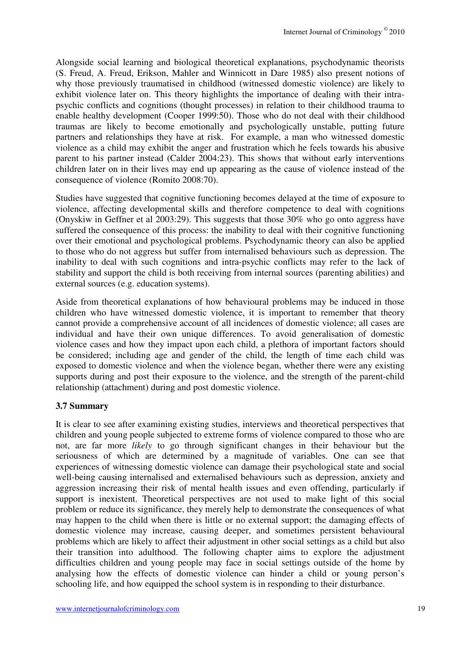Alongside social learning and biological theoretical explanations, psychodynamic theorists (S. Freud, A. Freud, Erikson, Mahler and Winnicott in Dare 1985) also present notions of why those previously traumatised in childhood (witnessed domestic violence) are likely to exhibit violence later on. This theory highlights the importance of dealing with their intrapsychic conflicts and cognitions (thought processes) in relation to their childhood trauma to enable healthy development (Cooper 1999:50). Those who do not deal with their childhood traumas are likely to become emotionally and psychologically unstable, putting future partners and relationships they have at risk. For example, a man who witnessed domestic violence as a child may exhibit the anger and frustration which he feels towards his abusive parent to his partner instead (Calder 2004:23). This shows that without early interventions children later on in their lives may end up appearing as the cause of violence instead of the consequence of violence (Romito 2008:70).

Studies have suggested that cognitive functioning becomes delayed at the time of exposure to violence, affecting developmental skills and therefore competence to deal with cognitions (Onyskiw in Geffner et al 2003:29). This suggests that those 30% who go onto aggress have suffered the consequence of this process: the inability to deal with their cognitive functioning over their emotional and psychological problems. Psychodynamic theory can also be applied to those who do not aggress but suffer from internalised behaviours such as depression. The inability to deal with such cognitions and intra-psychic conflicts may refer to the lack of stability and support the child is both receiving from internal sources (parenting abilities) and external sources (e.g. education systems).

Aside from theoretical explanations of how behavioural problems may be induced in those children who have witnessed domestic violence, it is important to remember that theory cannot provide a comprehensive account of all incidences of domestic violence; all cases are individual and have their own unique differences. To avoid generalisation of domestic violence cases and how they impact upon each child, a plethora of important factors should be considered; including age and gender of the child, the length of time each child was exposed to domestic violence and when the violence began, whether there were any existing supports during and post their exposure to the violence, and the strength of the parent-child relationship (attachment) during and post domestic violence.

# **3.7 Summary**

It is clear to see after examining existing studies, interviews and theoretical perspectives that children and young people subjected to extreme forms of violence compared to those who are not, are far more *likely* to go through significant changes in their behaviour but the seriousness of which are determined by a magnitude of variables. One can see that experiences of witnessing domestic violence can damage their psychological state and social well-being causing internalised and externalised behaviours such as depression, anxiety and aggression increasing their risk of mental health issues and even offending, particularly if support is inexistent. Theoretical perspectives are not used to make light of this social problem or reduce its significance, they merely help to demonstrate the consequences of what may happen to the child when there is little or no external support; the damaging effects of domestic violence may increase, causing deeper, and sometimes persistent behavioural problems which are likely to affect their adjustment in other social settings as a child but also their transition into adulthood. The following chapter aims to explore the adjustment difficulties children and young people may face in social settings outside of the home by analysing how the effects of domestic violence can hinder a child or young person's schooling life, and how equipped the school system is in responding to their disturbance.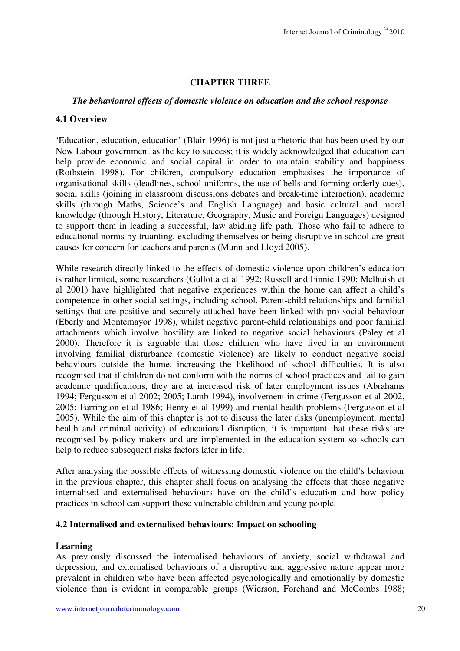## **CHAPTER THREE**

## *The behavioural effects of domestic violence on education and the school response*

## **4.1 Overview**

'Education, education, education' (Blair 1996) is not just a rhetoric that has been used by our New Labour government as the key to success; it is widely acknowledged that education can help provide economic and social capital in order to maintain stability and happiness (Rothstein 1998). For children, compulsory education emphasises the importance of organisational skills (deadlines, school uniforms, the use of bells and forming orderly cues), social skills (joining in classroom discussions debates and break-time interaction), academic skills (through Maths, Science's and English Language) and basic cultural and moral knowledge (through History, Literature, Geography, Music and Foreign Languages) designed to support them in leading a successful, law abiding life path. Those who fail to adhere to educational norms by truanting, excluding themselves or being disruptive in school are great causes for concern for teachers and parents (Munn and Lloyd 2005).

While research directly linked to the effects of domestic violence upon children's education is rather limited, some researchers (Gullotta et al 1992; Russell and Finnie 1990; Melhuish et al 2001) have highlighted that negative experiences within the home can affect a child's competence in other social settings, including school. Parent-child relationships and familial settings that are positive and securely attached have been linked with pro-social behaviour (Eberly and Montemayor 1998), whilst negative parent-child relationships and poor familial attachments which involve hostility are linked to negative social behaviours (Paley et al 2000). Therefore it is arguable that those children who have lived in an environment involving familial disturbance (domestic violence) are likely to conduct negative social behaviours outside the home, increasing the likelihood of school difficulties. It is also recognised that if children do not conform with the norms of school practices and fail to gain academic qualifications, they are at increased risk of later employment issues (Abrahams 1994; Fergusson et al 2002; 2005; Lamb 1994), involvement in crime (Fergusson et al 2002, 2005; Farrington et al 1986; Henry et al 1999) and mental health problems (Fergusson et al 2005). While the aim of this chapter is not to discuss the later risks (unemployment, mental health and criminal activity) of educational disruption, it is important that these risks are recognised by policy makers and are implemented in the education system so schools can help to reduce subsequent risks factors later in life.

After analysing the possible effects of witnessing domestic violence on the child's behaviour in the previous chapter, this chapter shall focus on analysing the effects that these negative internalised and externalised behaviours have on the child's education and how policy practices in school can support these vulnerable children and young people.

## **4.2 Internalised and externalised behaviours: Impact on schooling**

# **Learning**

As previously discussed the internalised behaviours of anxiety, social withdrawal and depression, and externalised behaviours of a disruptive and aggressive nature appear more prevalent in children who have been affected psychologically and emotionally by domestic violence than is evident in comparable groups (Wierson, Forehand and McCombs 1988;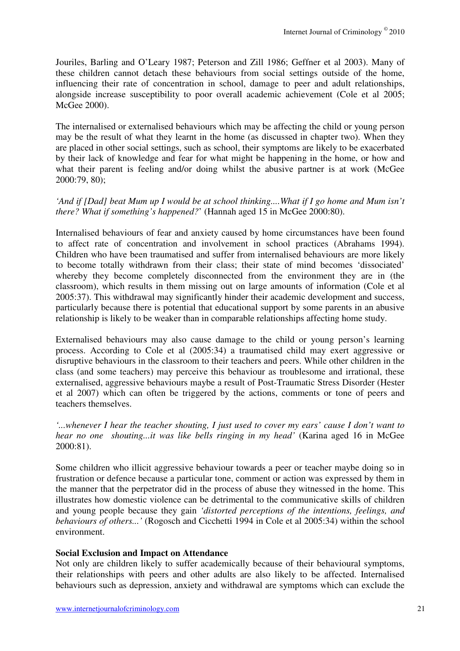Jouriles, Barling and O'Leary 1987; Peterson and Zill 1986; Geffner et al 2003). Many of these children cannot detach these behaviours from social settings outside of the home, influencing their rate of concentration in school, damage to peer and adult relationships, alongside increase susceptibility to poor overall academic achievement (Cole et al 2005; McGee 2000).

The internalised or externalised behaviours which may be affecting the child or young person may be the result of what they learnt in the home (as discussed in chapter two). When they are placed in other social settings, such as school, their symptoms are likely to be exacerbated by their lack of knowledge and fear for what might be happening in the home, or how and what their parent is feeling and/or doing whilst the abusive partner is at work (McGee 2000:79, 80);

## *'And if [Dad] beat Mum up I would be at school thinking....What if I go home and Mum isn't there? What if something's happened?*' (Hannah aged 15 in McGee 2000:80).

Internalised behaviours of fear and anxiety caused by home circumstances have been found to affect rate of concentration and involvement in school practices (Abrahams 1994). Children who have been traumatised and suffer from internalised behaviours are more likely to become totally withdrawn from their class; their state of mind becomes 'dissociated' whereby they become completely disconnected from the environment they are in (the classroom), which results in them missing out on large amounts of information (Cole et al 2005:37). This withdrawal may significantly hinder their academic development and success, particularly because there is potential that educational support by some parents in an abusive relationship is likely to be weaker than in comparable relationships affecting home study.

Externalised behaviours may also cause damage to the child or young person's learning process. According to Cole et al (2005:34) a traumatised child may exert aggressive or disruptive behaviours in the classroom to their teachers and peers. While other children in the class (and some teachers) may perceive this behaviour as troublesome and irrational, these externalised, aggressive behaviours maybe a result of Post-Traumatic Stress Disorder (Hester et al 2007) which can often be triggered by the actions, comments or tone of peers and teachers themselves.

*'...whenever I hear the teacher shouting, I just used to cover my ears' cause I don't want to hear no one shouting...it was like bells ringing in my head'* (Karina aged 16 in McGee 2000:81).

Some children who illicit aggressive behaviour towards a peer or teacher maybe doing so in frustration or defence because a particular tone, comment or action was expressed by them in the manner that the perpetrator did in the process of abuse they witnessed in the home. This illustrates how domestic violence can be detrimental to the communicative skills of children and young people because they gain *'distorted perceptions of the intentions, feelings, and behaviours of others...'* (Rogosch and Cicchetti 1994 in Cole et al 2005:34) within the school environment.

## **Social Exclusion and Impact on Attendance**

Not only are children likely to suffer academically because of their behavioural symptoms, their relationships with peers and other adults are also likely to be affected. Internalised behaviours such as depression, anxiety and withdrawal are symptoms which can exclude the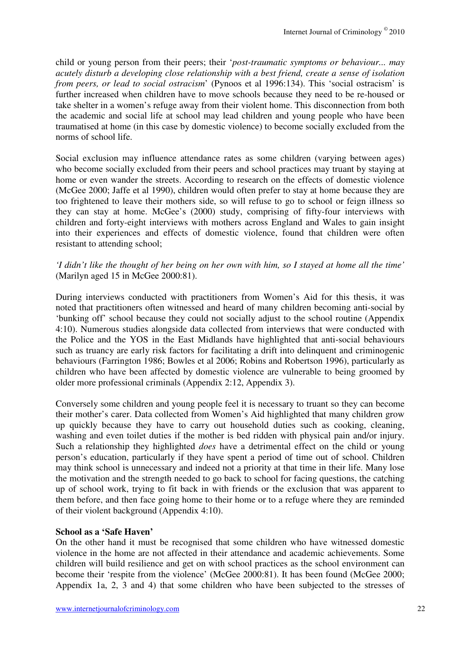child or young person from their peers; their '*post-traumatic symptoms or behaviour... may acutely disturb a developing close relationship with a best friend, create a sense of isolation from peers, or lead to social ostracism*' (Pynoos et al 1996:134). This 'social ostracism' is further increased when children have to move schools because they need to be re-housed or take shelter in a women's refuge away from their violent home. This disconnection from both the academic and social life at school may lead children and young people who have been traumatised at home (in this case by domestic violence) to become socially excluded from the norms of school life.

Social exclusion may influence attendance rates as some children (varying between ages) who become socially excluded from their peers and school practices may truant by staying at home or even wander the streets. According to research on the effects of domestic violence (McGee 2000; Jaffe et al 1990), children would often prefer to stay at home because they are too frightened to leave their mothers side, so will refuse to go to school or feign illness so they can stay at home. McGee's (2000) study, comprising of fifty-four interviews with children and forty-eight interviews with mothers across England and Wales to gain insight into their experiences and effects of domestic violence, found that children were often resistant to attending school;

## *'I didn't like the thought of her being on her own with him, so I stayed at home all the time'* (Marilyn aged 15 in McGee 2000:81).

During interviews conducted with practitioners from Women's Aid for this thesis, it was noted that practitioners often witnessed and heard of many children becoming anti-social by 'bunking off' school because they could not socially adjust to the school routine (Appendix 4:10). Numerous studies alongside data collected from interviews that were conducted with the Police and the YOS in the East Midlands have highlighted that anti-social behaviours such as truancy are early risk factors for facilitating a drift into delinquent and criminogenic behaviours (Farrington 1986; Bowles et al 2006; Robins and Robertson 1996), particularly as children who have been affected by domestic violence are vulnerable to being groomed by older more professional criminals (Appendix 2:12, Appendix 3).

Conversely some children and young people feel it is necessary to truant so they can become their mother's carer. Data collected from Women's Aid highlighted that many children grow up quickly because they have to carry out household duties such as cooking, cleaning, washing and even toilet duties if the mother is bed ridden with physical pain and/or injury. Such a relationship they highlighted *does* have a detrimental effect on the child or young person's education, particularly if they have spent a period of time out of school. Children may think school is unnecessary and indeed not a priority at that time in their life. Many lose the motivation and the strength needed to go back to school for facing questions, the catching up of school work, trying to fit back in with friends or the exclusion that was apparent to them before, and then face going home to their home or to a refuge where they are reminded of their violent background (Appendix 4:10).

## **School as a 'Safe Haven'**

On the other hand it must be recognised that some children who have witnessed domestic violence in the home are not affected in their attendance and academic achievements. Some children will build resilience and get on with school practices as the school environment can become their 'respite from the violence' (McGee 2000:81). It has been found (McGee 2000; Appendix 1a, 2, 3 and 4) that some children who have been subjected to the stresses of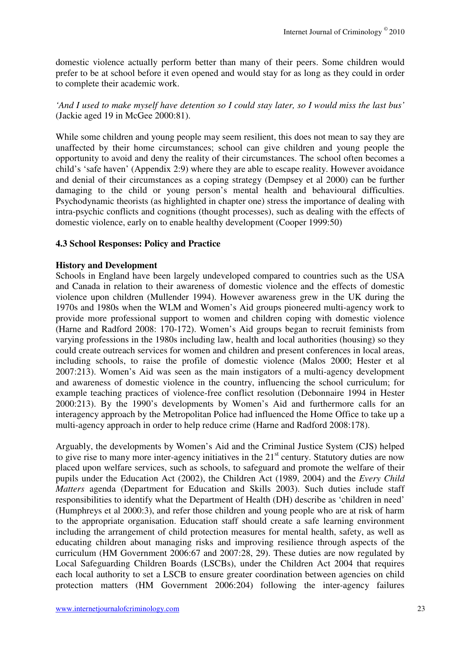domestic violence actually perform better than many of their peers. Some children would prefer to be at school before it even opened and would stay for as long as they could in order to complete their academic work.

## *'And I used to make myself have detention so I could stay later, so I would miss the last bus'*  (Jackie aged 19 in McGee 2000:81).

While some children and young people may seem resilient, this does not mean to say they are unaffected by their home circumstances; school can give children and young people the opportunity to avoid and deny the reality of their circumstances. The school often becomes a child's 'safe haven' (Appendix 2:9) where they are able to escape reality. However avoidance and denial of their circumstances as a coping strategy (Dempsey et al 2000) can be further damaging to the child or young person's mental health and behavioural difficulties. Psychodynamic theorists (as highlighted in chapter one) stress the importance of dealing with intra-psychic conflicts and cognitions (thought processes), such as dealing with the effects of domestic violence, early on to enable healthy development (Cooper 1999:50)

## **4.3 School Responses: Policy and Practice**

## **History and Development**

Schools in England have been largely undeveloped compared to countries such as the USA and Canada in relation to their awareness of domestic violence and the effects of domestic violence upon children (Mullender 1994). However awareness grew in the UK during the 1970s and 1980s when the WLM and Women's Aid groups pioneered multi-agency work to provide more professional support to women and children coping with domestic violence (Harne and Radford 2008: 170-172). Women's Aid groups began to recruit feminists from varying professions in the 1980s including law, health and local authorities (housing) so they could create outreach services for women and children and present conferences in local areas, including schools, to raise the profile of domestic violence (Malos 2000; Hester et al 2007:213). Women's Aid was seen as the main instigators of a multi-agency development and awareness of domestic violence in the country, influencing the school curriculum; for example teaching practices of violence-free conflict resolution (Debonnaire 1994 in Hester 2000:213). By the 1990's developments by Women's Aid and furthermore calls for an interagency approach by the Metropolitan Police had influenced the Home Office to take up a multi-agency approach in order to help reduce crime (Harne and Radford 2008:178).

Arguably, the developments by Women's Aid and the Criminal Justice System (CJS) helped to give rise to many more inter-agency initiatives in the 21<sup>st</sup> century. Statutory duties are now placed upon welfare services, such as schools, to safeguard and promote the welfare of their pupils under the Education Act (2002), the Children Act (1989, 2004) and the *Every Child Matters* agenda (Department for Education and Skills 2003). Such duties include staff responsibilities to identify what the Department of Health (DH) describe as 'children in need' (Humphreys et al 2000:3), and refer those children and young people who are at risk of harm to the appropriate organisation. Education staff should create a safe learning environment including the arrangement of child protection measures for mental health, safety, as well as educating children about managing risks and improving resilience through aspects of the curriculum (HM Government 2006:67 and 2007:28, 29). These duties are now regulated by Local Safeguarding Children Boards (LSCBs), under the Children Act 2004 that requires each local authority to set a LSCB to ensure greater coordination between agencies on child protection matters (HM Government 2006:204) following the inter-agency failures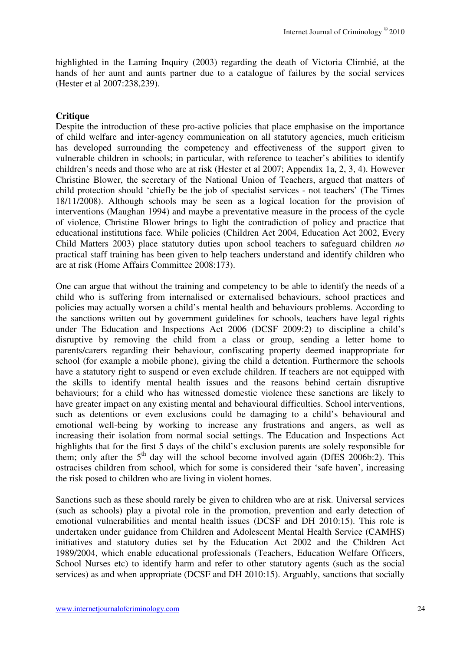highlighted in the Laming Inquiry (2003) regarding the death of Victoria Climbié, at the hands of her aunt and aunts partner due to a catalogue of failures by the social services (Hester et al 2007:238,239).

## **Critique**

Despite the introduction of these pro-active policies that place emphasise on the importance of child welfare and inter-agency communication on all statutory agencies, much criticism has developed surrounding the competency and effectiveness of the support given to vulnerable children in schools; in particular, with reference to teacher's abilities to identify children's needs and those who are at risk (Hester et al 2007; Appendix 1a, 2, 3, 4). However Christine Blower, the secretary of the National Union of Teachers, argued that matters of child protection should 'chiefly be the job of specialist services - not teachers' (The Times 18/11/2008). Although schools may be seen as a logical location for the provision of interventions (Maughan 1994) and maybe a preventative measure in the process of the cycle of violence, Christine Blower brings to light the contradiction of policy and practice that educational institutions face. While policies (Children Act 2004, Education Act 2002, Every Child Matters 2003) place statutory duties upon school teachers to safeguard children *no* practical staff training has been given to help teachers understand and identify children who are at risk (Home Affairs Committee 2008:173).

One can argue that without the training and competency to be able to identify the needs of a child who is suffering from internalised or externalised behaviours, school practices and policies may actually worsen a child's mental health and behaviours problems. According to the sanctions written out by government guidelines for schools, teachers have legal rights under The Education and Inspections Act 2006 (DCSF 2009:2) to discipline a child's disruptive by removing the child from a class or group, sending a letter home to parents/carers regarding their behaviour, confiscating property deemed inappropriate for school (for example a mobile phone), giving the child a detention. Furthermore the schools have a statutory right to suspend or even exclude children. If teachers are not equipped with the skills to identify mental health issues and the reasons behind certain disruptive behaviours; for a child who has witnessed domestic violence these sanctions are likely to have greater impact on any existing mental and behavioural difficulties. School interventions, such as detentions or even exclusions could be damaging to a child's behavioural and emotional well-being by working to increase any frustrations and angers, as well as increasing their isolation from normal social settings. The Education and Inspections Act highlights that for the first 5 days of the child's exclusion parents are solely responsible for them; only after the  $5<sup>th</sup>$  day will the school become involved again (DfES 2006b:2). This ostracises children from school, which for some is considered their 'safe haven', increasing the risk posed to children who are living in violent homes.

Sanctions such as these should rarely be given to children who are at risk. Universal services (such as schools) play a pivotal role in the promotion, prevention and early detection of emotional vulnerabilities and mental health issues (DCSF and DH 2010:15). This role is undertaken under guidance from Children and Adolescent Mental Health Service (CAMHS) initiatives and statutory duties set by the Education Act 2002 and the Children Act 1989/2004, which enable educational professionals (Teachers, Education Welfare Officers, School Nurses etc) to identify harm and refer to other statutory agents (such as the social services) as and when appropriate (DCSF and DH 2010:15). Arguably, sanctions that socially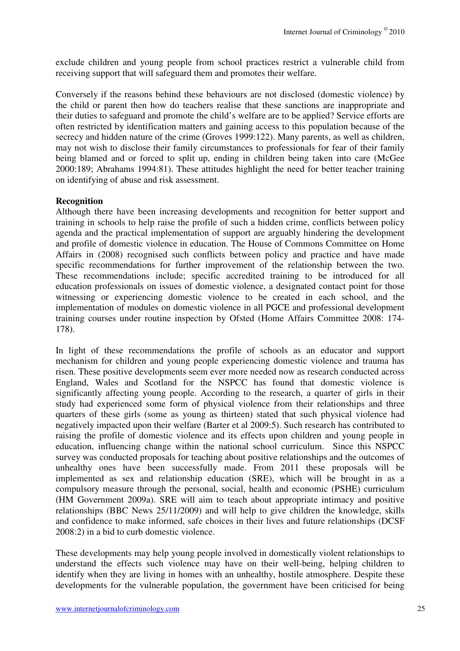exclude children and young people from school practices restrict a vulnerable child from receiving support that will safeguard them and promotes their welfare.

Conversely if the reasons behind these behaviours are not disclosed (domestic violence) by the child or parent then how do teachers realise that these sanctions are inappropriate and their duties to safeguard and promote the child's welfare are to be applied? Service efforts are often restricted by identification matters and gaining access to this population because of the secrecy and hidden nature of the crime (Groves 1999:122). Many parents, as well as children, may not wish to disclose their family circumstances to professionals for fear of their family being blamed and or forced to split up, ending in children being taken into care (McGee 2000:189; Abrahams 1994:81). These attitudes highlight the need for better teacher training on identifying of abuse and risk assessment.

## **Recognition**

Although there have been increasing developments and recognition for better support and training in schools to help raise the profile of such a hidden crime, conflicts between policy agenda and the practical implementation of support are arguably hindering the development and profile of domestic violence in education. The House of Commons Committee on Home Affairs in (2008) recognised such conflicts between policy and practice and have made specific recommendations for further improvement of the relationship between the two. These recommendations include; specific accredited training to be introduced for all education professionals on issues of domestic violence, a designated contact point for those witnessing or experiencing domestic violence to be created in each school, and the implementation of modules on domestic violence in all PGCE and professional development training courses under routine inspection by Ofsted (Home Affairs Committee 2008: 174- 178).

In light of these recommendations the profile of schools as an educator and support mechanism for children and young people experiencing domestic violence and trauma has risen. These positive developments seem ever more needed now as research conducted across England, Wales and Scotland for the NSPCC has found that domestic violence is significantly affecting young people. According to the research, a quarter of girls in their study had experienced some form of physical violence from their relationships and three quarters of these girls (some as young as thirteen) stated that such physical violence had negatively impacted upon their welfare (Barter et al 2009:5). Such research has contributed to raising the profile of domestic violence and its effects upon children and young people in education, influencing change within the national school curriculum. Since this NSPCC survey was conducted proposals for teaching about positive relationships and the outcomes of unhealthy ones have been successfully made. From 2011 these proposals will be implemented as sex and relationship education (SRE), which will be brought in as a compulsory measure through the personal, social, health and economic (PSHE) curriculum (HM Government 2009a). SRE will aim to teach about appropriate intimacy and positive relationships (BBC News 25/11/2009) and will help to give children the knowledge, skills and confidence to make informed, safe choices in their lives and future relationships (DCSF 2008:2) in a bid to curb domestic violence.

These developments may help young people involved in domestically violent relationships to understand the effects such violence may have on their well-being, helping children to identify when they are living in homes with an unhealthy, hostile atmosphere. Despite these developments for the vulnerable population, the government have been criticised for being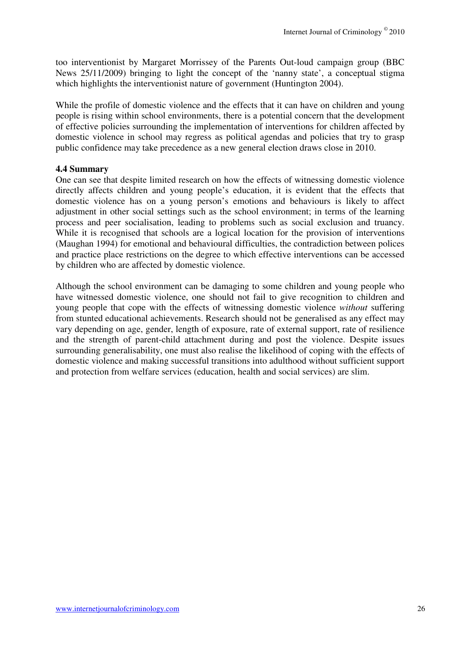too interventionist by Margaret Morrissey of the Parents Out-loud campaign group (BBC News 25/11/2009) bringing to light the concept of the 'nanny state', a conceptual stigma which highlights the interventionist nature of government (Huntington 2004).

While the profile of domestic violence and the effects that it can have on children and young people is rising within school environments, there is a potential concern that the development of effective policies surrounding the implementation of interventions for children affected by domestic violence in school may regress as political agendas and policies that try to grasp public confidence may take precedence as a new general election draws close in 2010.

## **4.4 Summary**

One can see that despite limited research on how the effects of witnessing domestic violence directly affects children and young people's education, it is evident that the effects that domestic violence has on a young person's emotions and behaviours is likely to affect adjustment in other social settings such as the school environment; in terms of the learning process and peer socialisation, leading to problems such as social exclusion and truancy. While it is recognised that schools are a logical location for the provision of interventions (Maughan 1994) for emotional and behavioural difficulties, the contradiction between polices and practice place restrictions on the degree to which effective interventions can be accessed by children who are affected by domestic violence.

Although the school environment can be damaging to some children and young people who have witnessed domestic violence, one should not fail to give recognition to children and young people that cope with the effects of witnessing domestic violence *without* suffering from stunted educational achievements. Research should not be generalised as any effect may vary depending on age, gender, length of exposure, rate of external support, rate of resilience and the strength of parent-child attachment during and post the violence. Despite issues surrounding generalisability, one must also realise the likelihood of coping with the effects of domestic violence and making successful transitions into adulthood without sufficient support and protection from welfare services (education, health and social services) are slim.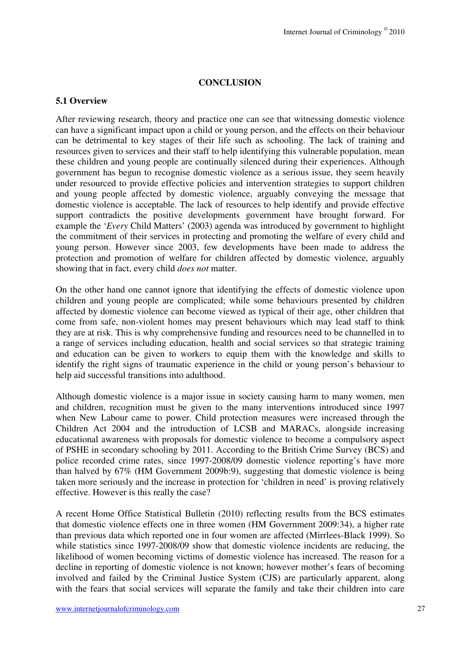## **CONCLUSION**

## **5.1 Overview**

After reviewing research, theory and practice one can see that witnessing domestic violence can have a significant impact upon a child or young person, and the effects on their behaviour can be detrimental to key stages of their life such as schooling. The lack of training and resources given to services and their staff to help identifying this vulnerable population, mean these children and young people are continually silenced during their experiences. Although government has begun to recognise domestic violence as a serious issue, they seem heavily under resourced to provide effective policies and intervention strategies to support children and young people affected by domestic violence, arguably conveying the message that domestic violence is acceptable. The lack of resources to help identify and provide effective support contradicts the positive developments government have brought forward. For example the '*Every* Child Matters' (2003) agenda was introduced by government to highlight the commitment of their services in protecting and promoting the welfare of every child and young person. However since 2003, few developments have been made to address the protection and promotion of welfare for children affected by domestic violence, arguably showing that in fact, every child *does not* matter.

On the other hand one cannot ignore that identifying the effects of domestic violence upon children and young people are complicated; while some behaviours presented by children affected by domestic violence can become viewed as typical of their age, other children that come from safe, non-violent homes may present behaviours which may lead staff to think they are at risk. This is why comprehensive funding and resources need to be channelled in to a range of services including education, health and social services so that strategic training and education can be given to workers to equip them with the knowledge and skills to identify the right signs of traumatic experience in the child or young person's behaviour to help aid successful transitions into adulthood.

Although domestic violence is a major issue in society causing harm to many women, men and children, recognition must be given to the many interventions introduced since 1997 when New Labour came to power. Child protection measures were increased through the Children Act 2004 and the introduction of LCSB and MARACs, alongside increasing educational awareness with proposals for domestic violence to become a compulsory aspect of PSHE in secondary schooling by 2011. According to the British Crime Survey (BCS) and police recorded crime rates, since 1997-2008/09 domestic violence reporting's have more than halved by 67% (HM Government 2009b:9), suggesting that domestic violence is being taken more seriously and the increase in protection for 'children in need' is proving relatively effective. However is this really the case?

A recent Home Office Statistical Bulletin (2010) reflecting results from the BCS estimates that domestic violence effects one in three women (HM Government 2009:34), a higher rate than previous data which reported one in four women are affected (Mirrlees-Black 1999). So while statistics since 1997-2008/09 show that domestic violence incidents are reducing, the likelihood of women becoming victims of domestic violence has increased. The reason for a decline in reporting of domestic violence is not known; however mother's fears of becoming involved and failed by the Criminal Justice System (CJS) are particularly apparent, along with the fears that social services will separate the family and take their children into care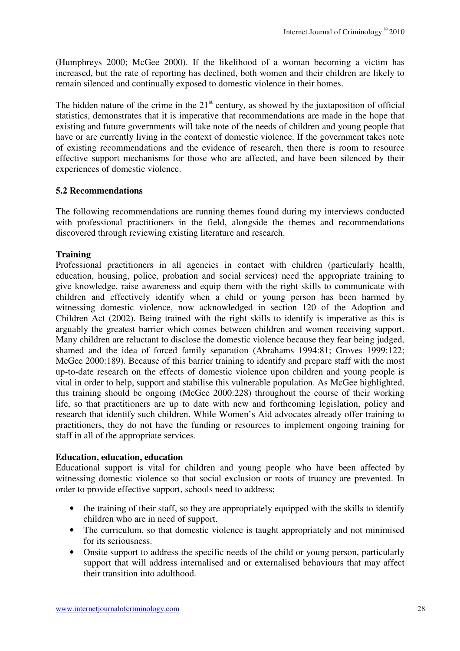(Humphreys 2000; McGee 2000). If the likelihood of a woman becoming a victim has increased, but the rate of reporting has declined, both women and their children are likely to remain silenced and continually exposed to domestic violence in their homes.

The hidden nature of the crime in the  $21<sup>st</sup>$  century, as showed by the juxtaposition of official statistics, demonstrates that it is imperative that recommendations are made in the hope that existing and future governments will take note of the needs of children and young people that have or are currently living in the context of domestic violence. If the government takes note of existing recommendations and the evidence of research, then there is room to resource effective support mechanisms for those who are affected, and have been silenced by their experiences of domestic violence.

## **5.2 Recommendations**

The following recommendations are running themes found during my interviews conducted with professional practitioners in the field, alongside the themes and recommendations discovered through reviewing existing literature and research.

## **Training**

Professional practitioners in all agencies in contact with children (particularly health, education, housing, police, probation and social services) need the appropriate training to give knowledge, raise awareness and equip them with the right skills to communicate with children and effectively identify when a child or young person has been harmed by witnessing domestic violence, now acknowledged in section 120 of the Adoption and Children Act (2002). Being trained with the right skills to identify is imperative as this is arguably the greatest barrier which comes between children and women receiving support. Many children are reluctant to disclose the domestic violence because they fear being judged, shamed and the idea of forced family separation (Abrahams 1994:81; Groves 1999:122; McGee 2000:189). Because of this barrier training to identify and prepare staff with the most up-to-date research on the effects of domestic violence upon children and young people is vital in order to help, support and stabilise this vulnerable population. As McGee highlighted, this training should be ongoing (McGee 2000:228) throughout the course of their working life, so that practitioners are up to date with new and forthcoming legislation, policy and research that identify such children. While Women's Aid advocates already offer training to practitioners, they do not have the funding or resources to implement ongoing training for staff in all of the appropriate services.

## **Education, education, education**

Educational support is vital for children and young people who have been affected by witnessing domestic violence so that social exclusion or roots of truancy are prevented. In order to provide effective support, schools need to address;

- the training of their staff, so they are appropriately equipped with the skills to identify children who are in need of support.
- The curriculum, so that domestic violence is taught appropriately and not minimised for its seriousness.
- Onsite support to address the specific needs of the child or young person, particularly support that will address internalised and or externalised behaviours that may affect their transition into adulthood.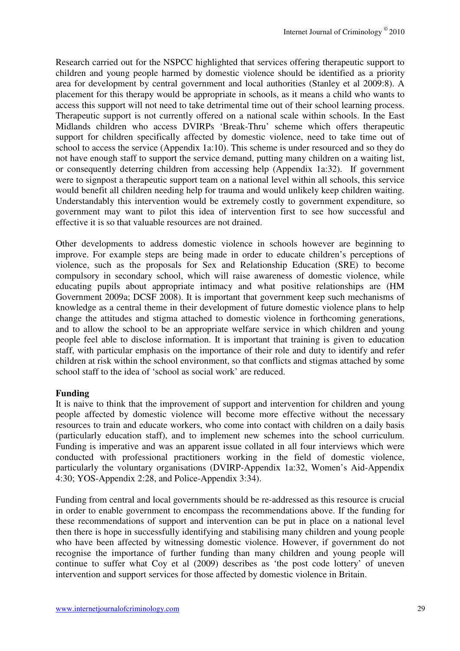Research carried out for the NSPCC highlighted that services offering therapeutic support to children and young people harmed by domestic violence should be identified as a priority area for development by central government and local authorities (Stanley et al 2009:8). A placement for this therapy would be appropriate in schools, as it means a child who wants to access this support will not need to take detrimental time out of their school learning process. Therapeutic support is not currently offered on a national scale within schools. In the East Midlands children who access DVIRPs 'Break-Thru' scheme which offers therapeutic support for children specifically affected by domestic violence, need to take time out of school to access the service (Appendix 1a:10). This scheme is under resourced and so they do not have enough staff to support the service demand, putting many children on a waiting list, or consequently deterring children from accessing help (Appendix 1a:32). If government were to signpost a therapeutic support team on a national level within all schools, this service would benefit all children needing help for trauma and would unlikely keep children waiting. Understandably this intervention would be extremely costly to government expenditure, so government may want to pilot this idea of intervention first to see how successful and effective it is so that valuable resources are not drained.

Other developments to address domestic violence in schools however are beginning to improve. For example steps are being made in order to educate children's perceptions of violence, such as the proposals for Sex and Relationship Education (SRE) to become compulsory in secondary school, which will raise awareness of domestic violence, while educating pupils about appropriate intimacy and what positive relationships are (HM Government 2009a; DCSF 2008). It is important that government keep such mechanisms of knowledge as a central theme in their development of future domestic violence plans to help change the attitudes and stigma attached to domestic violence in forthcoming generations, and to allow the school to be an appropriate welfare service in which children and young people feel able to disclose information. It is important that training is given to education staff, with particular emphasis on the importance of their role and duty to identify and refer children at risk within the school environment, so that conflicts and stigmas attached by some school staff to the idea of 'school as social work' are reduced.

## **Funding**

It is naive to think that the improvement of support and intervention for children and young people affected by domestic violence will become more effective without the necessary resources to train and educate workers, who come into contact with children on a daily basis (particularly education staff), and to implement new schemes into the school curriculum. Funding is imperative and was an apparent issue collated in all four interviews which were conducted with professional practitioners working in the field of domestic violence, particularly the voluntary organisations (DVIRP-Appendix 1a:32, Women's Aid-Appendix 4:30; YOS-Appendix 2:28, and Police-Appendix 3:34).

Funding from central and local governments should be re-addressed as this resource is crucial in order to enable government to encompass the recommendations above. If the funding for these recommendations of support and intervention can be put in place on a national level then there is hope in successfully identifying and stabilising many children and young people who have been affected by witnessing domestic violence. However, if government do not recognise the importance of further funding than many children and young people will continue to suffer what Coy et al (2009) describes as 'the post code lottery' of uneven intervention and support services for those affected by domestic violence in Britain.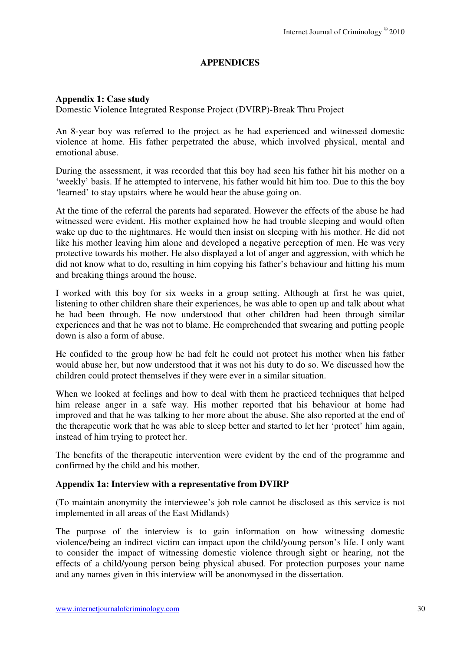# **APPENDICES**

## **Appendix 1: Case study**

Domestic Violence Integrated Response Project (DVIRP)-Break Thru Project

An 8-year boy was referred to the project as he had experienced and witnessed domestic violence at home. His father perpetrated the abuse, which involved physical, mental and emotional abuse.

During the assessment, it was recorded that this boy had seen his father hit his mother on a 'weekly' basis. If he attempted to intervene, his father would hit him too. Due to this the boy 'learned' to stay upstairs where he would hear the abuse going on.

At the time of the referral the parents had separated. However the effects of the abuse he had witnessed were evident. His mother explained how he had trouble sleeping and would often wake up due to the nightmares. He would then insist on sleeping with his mother. He did not like his mother leaving him alone and developed a negative perception of men. He was very protective towards his mother. He also displayed a lot of anger and aggression, with which he did not know what to do, resulting in him copying his father's behaviour and hitting his mum and breaking things around the house.

I worked with this boy for six weeks in a group setting. Although at first he was quiet, listening to other children share their experiences, he was able to open up and talk about what he had been through. He now understood that other children had been through similar experiences and that he was not to blame. He comprehended that swearing and putting people down is also a form of abuse.

He confided to the group how he had felt he could not protect his mother when his father would abuse her, but now understood that it was not his duty to do so. We discussed how the children could protect themselves if they were ever in a similar situation.

When we looked at feelings and how to deal with them he practiced techniques that helped him release anger in a safe way. His mother reported that his behaviour at home had improved and that he was talking to her more about the abuse. She also reported at the end of the therapeutic work that he was able to sleep better and started to let her 'protect' him again, instead of him trying to protect her.

The benefits of the therapeutic intervention were evident by the end of the programme and confirmed by the child and his mother.

## **Appendix 1a: Interview with a representative from DVIRP**

(To maintain anonymity the interviewee's job role cannot be disclosed as this service is not implemented in all areas of the East Midlands)

The purpose of the interview is to gain information on how witnessing domestic violence/being an indirect victim can impact upon the child/young person's life. I only want to consider the impact of witnessing domestic violence through sight or hearing, not the effects of a child/young person being physical abused. For protection purposes your name and any names given in this interview will be anonomysed in the dissertation.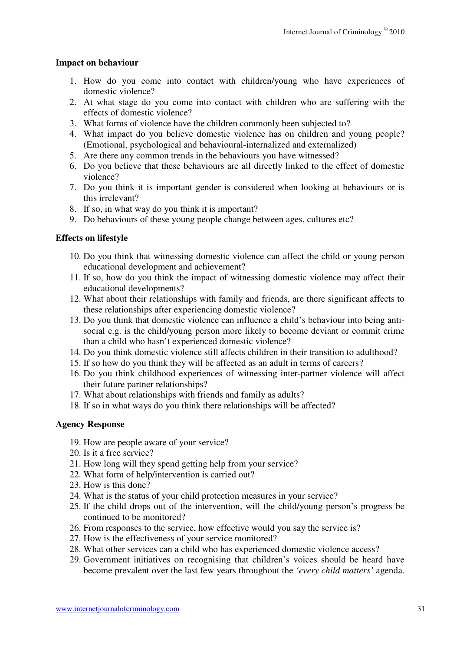## **Impact on behaviour**

- 1. How do you come into contact with children/young who have experiences of domestic violence?
- 2. At what stage do you come into contact with children who are suffering with the effects of domestic violence?
- 3. What forms of violence have the children commonly been subjected to?
- 4. What impact do you believe domestic violence has on children and young people? (Emotional, psychological and behavioural-internalized and externalized)
- 5. Are there any common trends in the behaviours you have witnessed?
- 6. Do you believe that these behaviours are all directly linked to the effect of domestic violence?
- 7. Do you think it is important gender is considered when looking at behaviours or is this irrelevant?
- 8. If so, in what way do you think it is important?
- 9. Do behaviours of these young people change between ages, cultures etc?

## **Effects on lifestyle**

- 10. Do you think that witnessing domestic violence can affect the child or young person educational development and achievement?
- 11. If so, how do you think the impact of witnessing domestic violence may affect their educational developments?
- 12. What about their relationships with family and friends, are there significant affects to these relationships after experiencing domestic violence?
- 13. Do you think that domestic violence can influence a child's behaviour into being antisocial e.g. is the child/young person more likely to become deviant or commit crime than a child who hasn't experienced domestic violence?
- 14. Do you think domestic violence still affects children in their transition to adulthood?
- 15. If so how do you think they will be affected as an adult in terms of careers?
- 16. Do you think childhood experiences of witnessing inter-partner violence will affect their future partner relationships?
- 17. What about relationships with friends and family as adults?
- 18. If so in what ways do you think there relationships will be affected?

## **Agency Response**

- 19. How are people aware of your service?
- 20. Is it a free service?
- 21. How long will they spend getting help from your service?
- 22. What form of help/intervention is carried out?
- 23. How is this done?
- 24. What is the status of your child protection measures in your service?
- 25. If the child drops out of the intervention, will the child/young person's progress be continued to be monitored?
- 26. From responses to the service, how effective would you say the service is?
- 27. How is the effectiveness of your service monitored?
- 28. What other services can a child who has experienced domestic violence access?
- 29. Government initiatives on recognising that children's voices should be heard have become prevalent over the last few years throughout the *'every child matters'* agenda.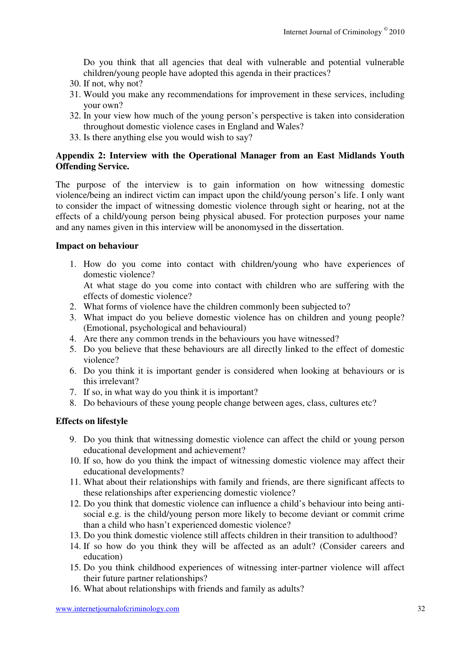Do you think that all agencies that deal with vulnerable and potential vulnerable children/young people have adopted this agenda in their practices?

- 30. If not, why not?
- 31. Would you make any recommendations for improvement in these services, including your own?
- 32. In your view how much of the young person's perspective is taken into consideration throughout domestic violence cases in England and Wales?
- 33. Is there anything else you would wish to say?

## **Appendix 2: Interview with the Operational Manager from an East Midlands Youth Offending Service.**

The purpose of the interview is to gain information on how witnessing domestic violence/being an indirect victim can impact upon the child/young person's life. I only want to consider the impact of witnessing domestic violence through sight or hearing, not at the effects of a child/young person being physical abused. For protection purposes your name and any names given in this interview will be anonomysed in the dissertation.

#### **Impact on behaviour**

1. How do you come into contact with children/young who have experiences of domestic violence?

At what stage do you come into contact with children who are suffering with the effects of domestic violence?

- 2. What forms of violence have the children commonly been subjected to?
- 3. What impact do you believe domestic violence has on children and young people? (Emotional, psychological and behavioural)
- 4. Are there any common trends in the behaviours you have witnessed?
- 5. Do you believe that these behaviours are all directly linked to the effect of domestic violence?
- 6. Do you think it is important gender is considered when looking at behaviours or is this irrelevant?
- 7. If so, in what way do you think it is important?
- 8. Do behaviours of these young people change between ages, class, cultures etc?

## **Effects on lifestyle**

- 9. Do you think that witnessing domestic violence can affect the child or young person educational development and achievement?
- 10. If so, how do you think the impact of witnessing domestic violence may affect their educational developments?
- 11. What about their relationships with family and friends, are there significant affects to these relationships after experiencing domestic violence?
- 12. Do you think that domestic violence can influence a child's behaviour into being antisocial e.g. is the child/young person more likely to become deviant or commit crime than a child who hasn't experienced domestic violence?
- 13. Do you think domestic violence still affects children in their transition to adulthood?
- 14. If so how do you think they will be affected as an adult? (Consider careers and education)
- 15. Do you think childhood experiences of witnessing inter-partner violence will affect their future partner relationships?
- 16. What about relationships with friends and family as adults?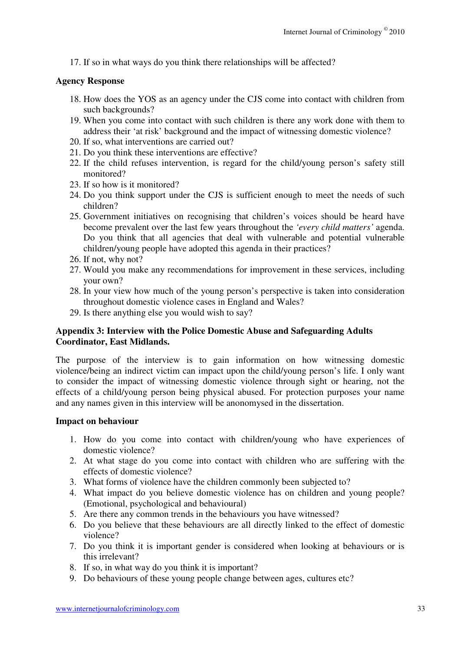17. If so in what ways do you think there relationships will be affected?

## **Agency Response**

- 18. How does the YOS as an agency under the CJS come into contact with children from such backgrounds?
- 19. When you come into contact with such children is there any work done with them to address their 'at risk' background and the impact of witnessing domestic violence?
- 20. If so, what interventions are carried out?
- 21. Do you think these interventions are effective?
- 22. If the child refuses intervention, is regard for the child/young person's safety still monitored?
- 23. If so how is it monitored?
- 24. Do you think support under the CJS is sufficient enough to meet the needs of such children?
- 25. Government initiatives on recognising that children's voices should be heard have become prevalent over the last few years throughout the *'every child matters'* agenda. Do you think that all agencies that deal with vulnerable and potential vulnerable children/young people have adopted this agenda in their practices?
- 26. If not, why not?
- 27. Would you make any recommendations for improvement in these services, including your own?
- 28. In your view how much of the young person's perspective is taken into consideration throughout domestic violence cases in England and Wales?
- 29. Is there anything else you would wish to say?

# **Appendix 3: Interview with the Police Domestic Abuse and Safeguarding Adults Coordinator, East Midlands.**

The purpose of the interview is to gain information on how witnessing domestic violence/being an indirect victim can impact upon the child/young person's life. I only want to consider the impact of witnessing domestic violence through sight or hearing, not the effects of a child/young person being physical abused. For protection purposes your name and any names given in this interview will be anonomysed in the dissertation.

## **Impact on behaviour**

- 1. How do you come into contact with children/young who have experiences of domestic violence?
- 2. At what stage do you come into contact with children who are suffering with the effects of domestic violence?
- 3. What forms of violence have the children commonly been subjected to?
- 4. What impact do you believe domestic violence has on children and young people? (Emotional, psychological and behavioural)
- 5. Are there any common trends in the behaviours you have witnessed?
- 6. Do you believe that these behaviours are all directly linked to the effect of domestic violence?
- 7. Do you think it is important gender is considered when looking at behaviours or is this irrelevant?
- 8. If so, in what way do you think it is important?
- 9. Do behaviours of these young people change between ages, cultures etc?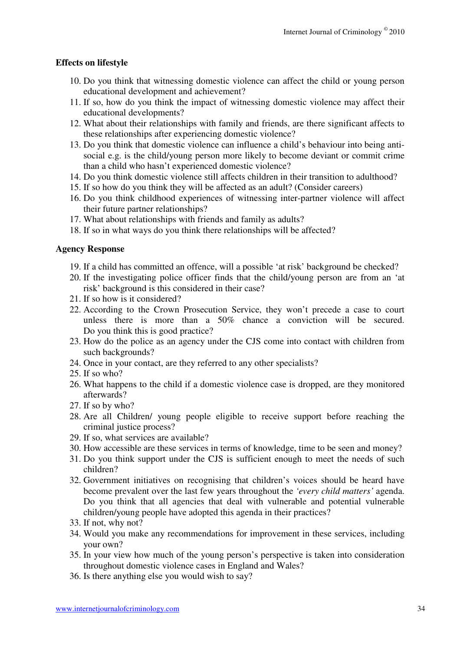## **Effects on lifestyle**

- 10. Do you think that witnessing domestic violence can affect the child or young person educational development and achievement?
- 11. If so, how do you think the impact of witnessing domestic violence may affect their educational developments?
- 12. What about their relationships with family and friends, are there significant affects to these relationships after experiencing domestic violence?
- 13. Do you think that domestic violence can influence a child's behaviour into being antisocial e.g. is the child/young person more likely to become deviant or commit crime than a child who hasn't experienced domestic violence?
- 14. Do you think domestic violence still affects children in their transition to adulthood?
- 15. If so how do you think they will be affected as an adult? (Consider careers)
- 16. Do you think childhood experiences of witnessing inter-partner violence will affect their future partner relationships?
- 17. What about relationships with friends and family as adults?
- 18. If so in what ways do you think there relationships will be affected?

## **Agency Response**

- 19. If a child has committed an offence, will a possible 'at risk' background be checked?
- 20. If the investigating police officer finds that the child/young person are from an 'at risk' background is this considered in their case?
- 21. If so how is it considered?
- 22. According to the Crown Prosecution Service, they won't precede a case to court unless there is more than a 50% chance a conviction will be secured. Do you think this is good practice?
- 23. How do the police as an agency under the CJS come into contact with children from such backgrounds?
- 24. Once in your contact, are they referred to any other specialists?
- 25. If so who?
- 26. What happens to the child if a domestic violence case is dropped, are they monitored afterwards?
- 27. If so by who?
- 28. Are all Children/ young people eligible to receive support before reaching the criminal justice process?
- 29. If so, what services are available?
- 30. How accessible are these services in terms of knowledge, time to be seen and money?
- 31. Do you think support under the CJS is sufficient enough to meet the needs of such children?
- 32. Government initiatives on recognising that children's voices should be heard have become prevalent over the last few years throughout the *'every child matters'* agenda. Do you think that all agencies that deal with vulnerable and potential vulnerable children/young people have adopted this agenda in their practices?
- 33. If not, why not?
- 34. Would you make any recommendations for improvement in these services, including your own?
- 35. In your view how much of the young person's perspective is taken into consideration throughout domestic violence cases in England and Wales?
- 36. Is there anything else you would wish to say?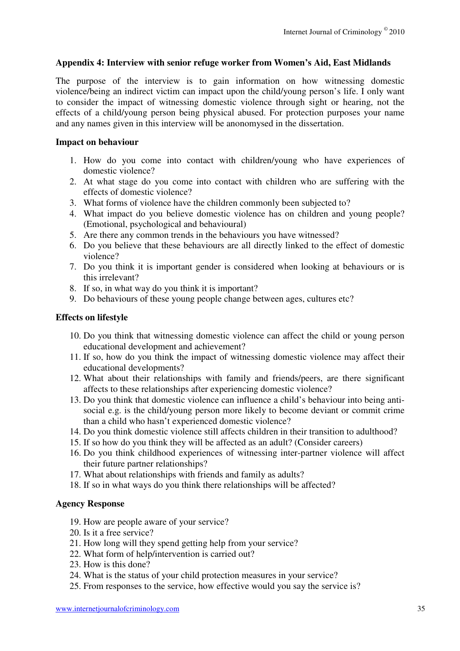## **Appendix 4: Interview with senior refuge worker from Women's Aid, East Midlands**

The purpose of the interview is to gain information on how witnessing domestic violence/being an indirect victim can impact upon the child/young person's life. I only want to consider the impact of witnessing domestic violence through sight or hearing, not the effects of a child/young person being physical abused. For protection purposes your name and any names given in this interview will be anonomysed in the dissertation.

## **Impact on behaviour**

- 1. How do you come into contact with children/young who have experiences of domestic violence?
- 2. At what stage do you come into contact with children who are suffering with the effects of domestic violence?
- 3. What forms of violence have the children commonly been subjected to?
- 4. What impact do you believe domestic violence has on children and young people? (Emotional, psychological and behavioural)
- 5. Are there any common trends in the behaviours you have witnessed?
- 6. Do you believe that these behaviours are all directly linked to the effect of domestic violence?
- 7. Do you think it is important gender is considered when looking at behaviours or is this irrelevant?
- 8. If so, in what way do you think it is important?
- 9. Do behaviours of these young people change between ages, cultures etc?

## **Effects on lifestyle**

- 10. Do you think that witnessing domestic violence can affect the child or young person educational development and achievement?
- 11. If so, how do you think the impact of witnessing domestic violence may affect their educational developments?
- 12. What about their relationships with family and friends/peers, are there significant affects to these relationships after experiencing domestic violence?
- 13. Do you think that domestic violence can influence a child's behaviour into being antisocial e.g. is the child/young person more likely to become deviant or commit crime than a child who hasn't experienced domestic violence?
- 14. Do you think domestic violence still affects children in their transition to adulthood?
- 15. If so how do you think they will be affected as an adult? (Consider careers)
- 16. Do you think childhood experiences of witnessing inter-partner violence will affect their future partner relationships?
- 17. What about relationships with friends and family as adults?
- 18. If so in what ways do you think there relationships will be affected?

# **Agency Response**

- 19. How are people aware of your service?
- 20. Is it a free service?
- 21. How long will they spend getting help from your service?
- 22. What form of help/intervention is carried out?
- 23. How is this done?
- 24. What is the status of your child protection measures in your service?
- 25. From responses to the service, how effective would you say the service is?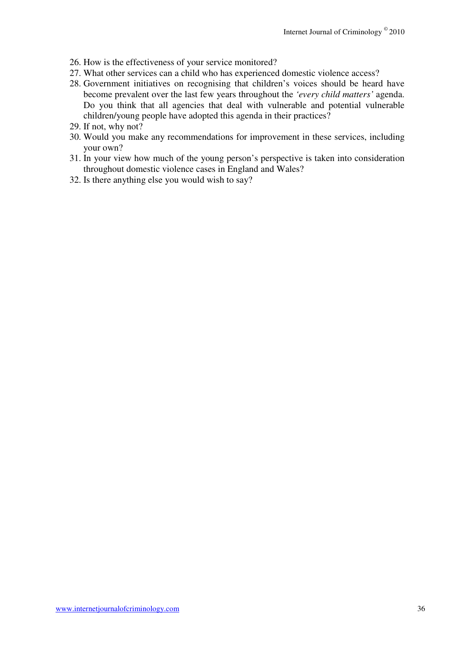- 26. How is the effectiveness of your service monitored?
- 27. What other services can a child who has experienced domestic violence access?
- 28. Government initiatives on recognising that children's voices should be heard have become prevalent over the last few years throughout the *'every child matters'* agenda. Do you think that all agencies that deal with vulnerable and potential vulnerable children/young people have adopted this agenda in their practices?
- 29. If not, why not?
- 30. Would you make any recommendations for improvement in these services, including your own?
- 31. In your view how much of the young person's perspective is taken into consideration throughout domestic violence cases in England and Wales?
- 32. Is there anything else you would wish to say?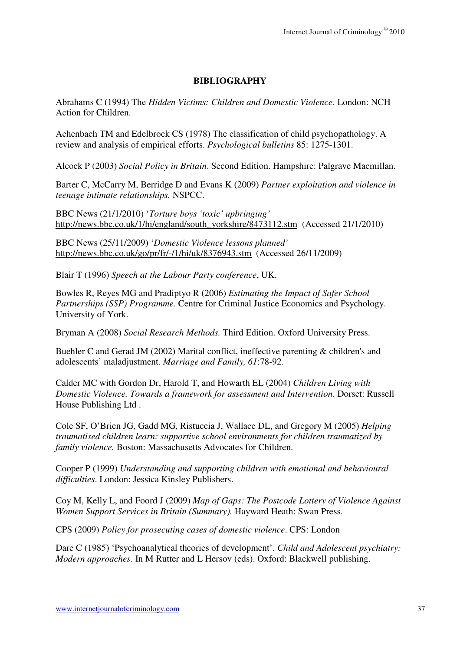# **BIBLIOGRAPHY**

Abrahams C (1994) The *Hidden Victims: Children and Domestic Violence*. London: NCH Action for Children.

Achenbach TM and Edelbrock CS (1978) The classification of child psychopathology. A review and analysis of empirical efforts. *Psychological bulletins* 85: 1275-1301.

Alcock P (2003) *Social Policy in Britain*. Second Edition. Hampshire: Palgrave Macmillan.

Barter C, McCarry M, Berridge D and Evans K (2009) *Partner exploitation and violence in teenage intimate relationships.* NSPCC.

BBC News (21/1/2010) '*Torture boys 'toxic' upbringing'* http://news.bbc.co.uk/1/hi/england/south\_yorkshire/8473112.stm (Accessed 21/1/2010)

BBC News (25/11/2009) '*Domestic Violence lessons planned'* http://news.bbc.co.uk/go/pr/fr/-/1/hi/uk/8376943.stm (Accessed 26/11/2009)

Blair T (1996) *Speech at the Labour Party conference*, UK.

Bowles R, Reyes MG and Pradiptyo R (2006) *Estimating the Impact of Safer School Partnerships (SSP) Programme.* Centre for Criminal Justice Economics and Psychology. University of York.

Bryman A (2008) *Social Research Methods.* Third Edition. Oxford University Press.

Buehler C and Gerad JM (2002) Marital conflict, ineffective parenting & children's and adolescents' maladjustment. *Marriage and Family, 61*:78-92.

Calder MC with Gordon Dr, Harold T, and Howarth EL (2004) *Children Living with Domestic Violence. Towards a framework for assessment and Intervention*. Dorset: Russell House Publishing Ltd .

Cole SF, O'Brien JG, Gadd MG, Ristuccia J, Wallace DL, and Gregory M (2005) *Helping traumatised children learn: supportive school environments for children traumatized by family violence.* Boston: Massachusetts Advocates for Children.

Cooper P (1999) *Understanding and supporting children with emotional and behavioural difficulties*. London: Jessica Kinsley Publishers.

Coy M, Kelly L, and Foord J (2009) *Map of Gaps: The Postcode Lottery of Violence Against Women Support Services in Britain (Summary).* Hayward Heath: Swan Press.

CPS (2009) *Policy for prosecuting cases of domestic violence*. CPS: London

Dare C (1985) 'Psychoanalytical theories of development'. *Child and Adolescent psychiatry: Modern approaches*. In M Rutter and L Hersov (eds). Oxford: Blackwell publishing.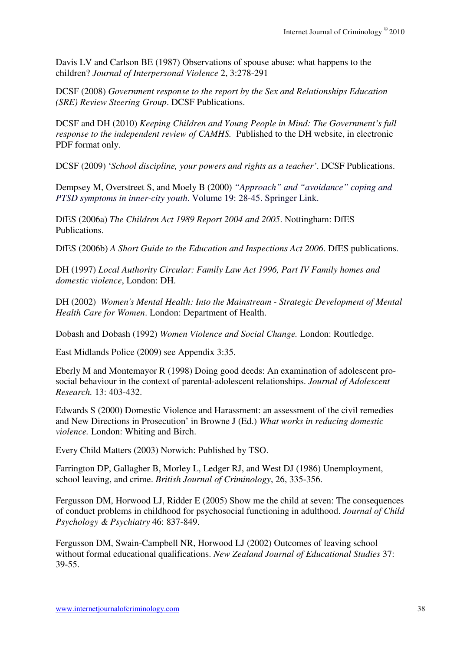Davis LV and Carlson BE (1987) Observations of spouse abuse: what happens to the children? *Journal of Interpersonal Violence* 2, 3:278-291

DCSF (2008) *Government response to the report by the Sex and Relationships Education (SRE) Review Steering Group*. DCSF Publications.

DCSF and DH (2010) *Keeping Children and Young People in Mind: The Government's full response to the independent review of CAMHS.* Published to the DH website, in electronic PDF format only.

DCSF (2009) '*School discipline, your powers and rights as a teacher'*. DCSF Publications.

Dempsey M, Overstreet S, and Moely B (2000) *"Approach" and "avoidance" coping and PTSD symptoms in inner-city youth*. Volume 19: 28-45. Springer Link.

DfES (2006a) *The Children Act 1989 Report 2004 and 2005*. Nottingham: DfES Publications.

DfES (2006b) *A Short Guide to the Education and Inspections Act 2006*. DfES publications.

DH (1997) *Local Authority Circular: Family Law Act 1996, Part IV Family homes and domestic violence*, London: DH.

DH (2002) *Women's Mental Health: Into the Mainstream - Strategic Development of Mental Health Care for Women*. London: Department of Health.

Dobash and Dobash (1992) *Women Violence and Social Change.* London: Routledge.

East Midlands Police (2009) see Appendix 3:35.

Eberly M and Montemayor R (1998) Doing good deeds: An examination of adolescent prosocial behaviour in the context of parental-adolescent relationships. *Journal of Adolescent Research.* 13: 403-432.

Edwards S (2000) Domestic Violence and Harassment: an assessment of the civil remedies and New Directions in Prosecution' in Browne J (Ed.) *What works in reducing domestic violence.* London: Whiting and Birch.

Every Child Matters (2003) Norwich: Published by TSO.

Farrington DP, Gallagher B, Morley L, Ledger RJ, and West DJ (1986) Unemployment, school leaving, and crime. *British Journal of Criminology*, 26, 335-356.

Fergusson DM, Horwood LJ, Ridder E (2005) Show me the child at seven: The consequences of conduct problems in childhood for psychosocial functioning in adulthood. *Journal of Child Psychology & Psychiatry* 46: 837-849.

Fergusson DM, Swain-Campbell NR, Horwood LJ (2002) Outcomes of leaving school without formal educational qualifications. *New Zealand Journal of Educational Studies* 37: 39-55.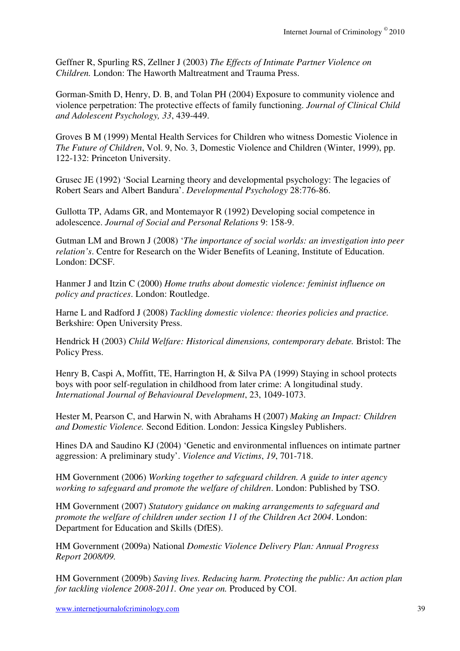Geffner R, Spurling RS, Zellner J (2003) *The Effects of Intimate Partner Violence on Children.* London: The Haworth Maltreatment and Trauma Press.

Gorman-Smith D, Henry, D. B, and Tolan PH (2004) Exposure to community violence and violence perpetration: The protective effects of family functioning. *Journal of Clinical Child and Adolescent Psychology, 33*, 439-449.

Groves B M (1999) Mental Health Services for Children who witness Domestic Violence in *The Future of Children*, Vol. 9, No. 3, Domestic Violence and Children (Winter, 1999), pp. 122-132: Princeton University.

Grusec JE (1992) 'Social Learning theory and developmental psychology: The legacies of Robert Sears and Albert Bandura'. *Developmental Psychology* 28:776-86.

Gullotta TP, Adams GR, and Montemayor R (1992) Developing social competence in adolescence. *Journal of Social and Personal Relations* 9: 158-9.

Gutman LM and Brown J (2008) '*The importance of social worlds: an investigation into peer relation's*. Centre for Research on the Wider Benefits of Leaning, Institute of Education. London: DCSF.

Hanmer J and Itzin C (2000) *Home truths about domestic violence: feminist influence on policy and practices*. London: Routledge.

Harne L and Radford J (2008) *Tackling domestic violence: theories policies and practice.*  Berkshire: Open University Press.

Hendrick H (2003) *Child Welfare: Historical dimensions, contemporary debate.* Bristol: The Policy Press.

Henry B, Caspi A, Moffitt, TE, Harrington H, & Silva PA (1999) Staying in school protects boys with poor self-regulation in childhood from later crime: A longitudinal study. *International Journal of Behavioural Development*, 23, 1049-1073.

Hester M, Pearson C, and Harwin N, with Abrahams H (2007) *Making an Impact: Children and Domestic Violence.* Second Edition. London: Jessica Kingsley Publishers.

Hines DA and Saudino KJ (2004) 'Genetic and environmental influences on intimate partner aggression: A preliminary study'. *Violence and Victims*, *19*, 701-718.

HM Government (2006) *Working together to safeguard children. A guide to inter agency working to safeguard and promote the welfare of children*. London: Published by TSO.

HM Government (2007) *Statutory guidance on making arrangements to safeguard and promote the welfare of children under section 11 of the Children Act 2004*. London: Department for Education and Skills (DfES).

HM Government (2009a) National *Domestic Violence Delivery Plan: Annual Progress Report 2008/09.*

HM Government (2009b) *Saving lives. Reducing harm. Protecting the public: An action plan for tackling violence 2008-2011. One year on.* Produced by COI.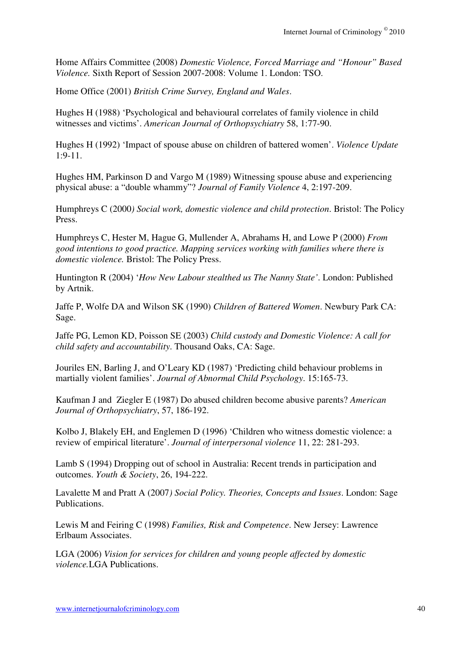Home Affairs Committee (2008) *Domestic Violence, Forced Marriage and "Honour" Based Violence.* Sixth Report of Session 2007-2008: Volume 1. London: TSO.

Home Office (2001) *British Crime Survey, England and Wales*.

Hughes H (1988) 'Psychological and behavioural correlates of family violence in child witnesses and victims'. *American Journal of Orthopsychiatry* 58, 1:77-90.

Hughes H (1992) 'Impact of spouse abuse on children of battered women'. *Violence Update* 1:9-11.

Hughes HM, Parkinson D and Vargo M (1989) Witnessing spouse abuse and experiencing physical abuse: a "double whammy"? *Journal of Family Violence* 4, 2:197-209.

Humphreys C (2000*) Social work, domestic violence and child protection*. Bristol: The Policy Press.

Humphreys C, Hester M, Hague G, Mullender A, Abrahams H, and Lowe P (2000) *From good intentions to good practice. Mapping services working with families where there is domestic violence.* Bristol: The Policy Press.

Huntington R (2004) '*How New Labour stealthed us The Nanny State'*. London: Published by Artnik.

Jaffe P, Wolfe DA and Wilson SK (1990) *Children of Battered Women*. Newbury Park CA: Sage.

Jaffe PG, Lemon KD, Poisson SE (2003) *Child custody and Domestic Violence: A call for child safety and accountability*. Thousand Oaks, CA: Sage.

Jouriles EN, Barling J, and O'Leary KD (1987) 'Predicting child behaviour problems in martially violent families'. *Journal of Abnormal Child Psychology*. 15:165-73.

Kaufman J and Ziegler E (1987) Do abused children become abusive parents? *American Journal of Orthopsychiatry*, 57, 186-192.

Kolbo J, Blakely EH, and Englemen D (1996) 'Children who witness domestic violence: a review of empirical literature'. *Journal of interpersonal violence* 11, 22: 281-293.

Lamb S (1994) Dropping out of school in Australia: Recent trends in participation and outcomes. *Youth & Society*, 26, 194-222.

Lavalette M and Pratt A (2007*) Social Policy. Theories, Concepts and Issues*. London: Sage Publications.

Lewis M and Feiring C (1998) *Families, Risk and Competence*. New Jersey: Lawrence Erlbaum Associates.

LGA (2006) *Vision for services for children and young people affected by domestic violence.*LGA Publications.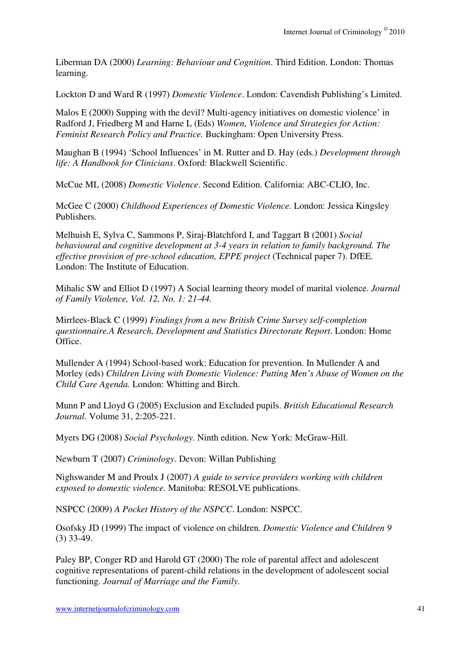Liberman DA (2000) *Learning: Behaviour and Cognition*. Third Edition. London: Thomas learning.

Lockton D and Ward R (1997) *Domestic Violence*. London: Cavendish Publishing's Limited.

Malos E (2000) Supping with the devil? Multi-agency initiatives on domestic violence' in Radford J, Friedberg M and Harne L (Eds) *Women, Violence and Strategies for Action: Feminist Research Policy and Practice.* Buckingham: Open University Press.

Maughan B (1994) 'School Influences' in M. Rutter and D. Hay (eds.) *Development through life: A Handbook for Clinicians*. Oxford: Blackwell Scientific.

McCue ML (2008) *Domestic Violence*. Second Edition. California: ABC-CLIO, Inc.

McGee C (2000) *Childhood Experiences of Domestic Violence.* London: Jessica Kingsley Publishers.

Melhuish E, Sylva C, Sammons P, Siraj-Blatchford I, and Taggart B (2001) *Social behavioural and cognitive development at 3-4 years in relation to family background. The effective provision of pre-school education, EPPE project* (Technical paper 7). DfEE. London: The Institute of Education.

Mihalic SW and Elliot D (1997) A Social learning theory model of marital violence. *Journal of Family Violence, Vol. 12, No. 1: 21-44.* 

Mirrlees-Black C (1999) *Findings from a new British Crime Survey self-completion questionnaire.A Research, Development and Statistics Directorate Report*. London: Home Office.

Mullender A (1994) School-based work: Education for prevention. In Mullender A and Morley (eds) *Children Living with Domestic Violence: Putting Men's Abuse of Women on the Child Care Agenda.* London: Whitting and Birch.

Munn P and Lloyd G (2005) Exclusion and Excluded pupils. *British Educational Research Journal*. Volume 31, 2:205-221.

Myers DG (2008) *Social Psychology.* Ninth edition. New York: McGraw-Hill.

Newburn T (2007) *Criminology*. Devon: Willan Publishing

Nighswander M and Proulx J (2007) *A guide to service providers working with children exposed to domestic violence.* Manitoba: RESOLVE publications.

NSPCC (2009) *A Pocket History of the NSPCC*. London: NSPCC.

Osofsky JD (1999) The impact of violence on children. *Domestic Violence and Children 9*  (3) 33-49.

Paley BP, Conger RD and Harold GT (2000) The role of parental affect and adolescent cognitive representations of parent-child relations in the development of adolescent social functioning. *Journal of Marriage and the Family.*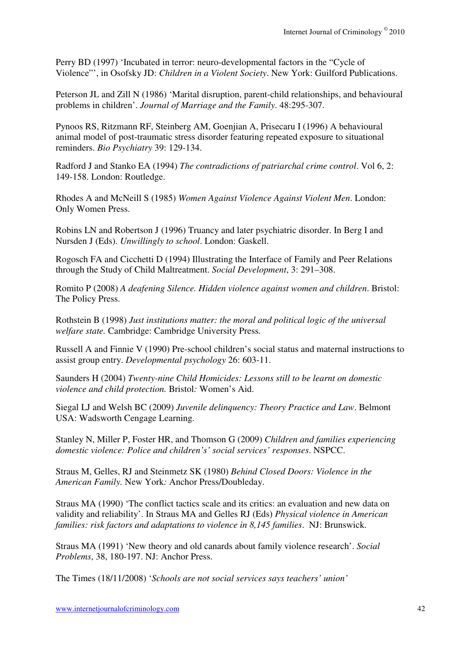Perry BD (1997) 'Incubated in terror: neuro-developmental factors in the "Cycle of Violence"', in Osofsky JD: *Children in a Violent Society*. New York: Guilford Publications.

Peterson JL and Zill N (1986) 'Marital disruption, parent-child relationships, and behavioural problems in children'. *Journal of Marriage and the Family*. 48:295-307.

Pynoos RS, Ritzmann RF, Steinberg AM, Goenjian A, Prisecaru I (1996) A behavioural animal model of post-traumatic stress disorder featuring repeated exposure to situational reminders. *Bio Psychiatry* 39: 129-134.

Radford J and Stanko EA (1994) *The contradictions of patriarchal crime control*. Vol 6, 2: 149-158. London: Routledge.

Rhodes A and McNeill S (1985) *Women Against Violence Against Violent Men*. London: Only Women Press.

Robins LN and Robertson J (1996) Truancy and later psychiatric disorder. In Berg I and Nursden J (Eds). *Unwillingly to school*. London: Gaskell.

Rogosch FA and Cicchetti D (1994) Illustrating the Interface of Family and Peer Relations through the Study of Child Maltreatment. *Social Development*, 3: 291–308.

Romito P (2008) *A deafening Silence. Hidden violence against women and children*. Bristol: The Policy Press.

Rothstein B (1998) *Just institutions matter: the moral and political logic of the universal welfare state.* Cambridge: Cambridge University Press*.*

Russell A and Finnie V (1990) Pre-school children's social status and maternal instructions to assist group entry. *Developmental psychology* 26: 603-11.

Saunders H (2004) *Twenty-nine Child Homicides: Lessons still to be learnt on domestic violence and child protection.* Bristol*:* Women's Aid.

Siegal LJ and Welsh BC (2009) *Juvenile delinquency: Theory Practice and Law*. Belmont USA: Wadsworth Cengage Learning.

Stanley N, Miller P, Foster HR, and Thomson G (2009) *Children and families experiencing domestic violence: Police and children's' social services' responses*. NSPCC.

Straus M, Gelles, RJ and Steinmetz SK (1980) *Behind Closed Doors: Violence in the American Family.* New York*:* Anchor Press/Doubleday.

Straus MA (1990) 'The conflict tactics scale and its critics: an evaluation and new data on validity and reliability'. In Straus MA and Gelles RJ (Eds) *Physical violence in American families: risk factors and adaptations to violence in 8,145 families*. NJ: Brunswick.

Straus MA (1991) 'New theory and old canards about family violence research'. *Social Problems*, 38, 180-197. NJ: Anchor Press.

The Times (18/11/2008) '*Schools are not social services says teachers' union'*